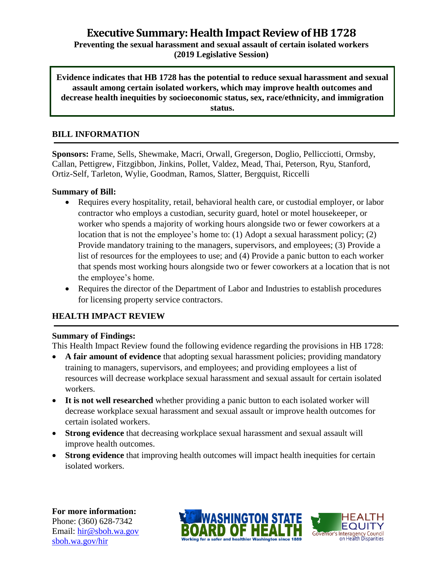**Preventing the sexual harassment and sexual assault of certain isolated workers (2019 Legislative Session)**

**Evidence indicates that HB 1728 has the potential to reduce sexual harassment and sexual assault among certain isolated workers, which may improve health outcomes and decrease health inequities by socioeconomic status, sex, race/ethnicity, and immigration status.**

### **BILL INFORMATION**

**Sponsors:** Frame, Sells, Shewmake, Macri, Orwall, Gregerson, Doglio, Pellicciotti, Ormsby, Callan, Pettigrew, Fitzgibbon, Jinkins, Pollet, Valdez, Mead, Thai, Peterson, Ryu, Stanford, Ortiz-Self, Tarleton, Wylie, Goodman, Ramos, Slatter, Bergquist, Riccelli

#### **Summary of Bill:**

- Requires every hospitality, retail, behavioral health care, or custodial employer, or labor contractor who employs a custodian, security guard, hotel or motel housekeeper, or worker who spends a majority of working hours alongside two or fewer coworkers at a location that is not the employee's home to: (1) Adopt a sexual harassment policy; (2) Provide mandatory training to the managers, supervisors, and employees; (3) Provide a list of resources for the employees to use; and (4) Provide a panic button to each worker that spends most working hours alongside two or fewer coworkers at a location that is not the employee's home.
- Requires the director of the Department of Labor and Industries to establish procedures for licensing property service contractors.

### **HEALTH IMPACT REVIEW**

#### **Summary of Findings:**

This Health Impact Review found the following evidence regarding the provisions in HB 1728:

- **A fair amount of evidence** that adopting sexual harassment policies; providing mandatory training to managers, supervisors, and employees; and providing employees a list of resources will decrease workplace sexual harassment and sexual assault for certain isolated workers.
- **It is not well researched** whether providing a panic button to each isolated worker will decrease workplace sexual harassment and sexual assault or improve health outcomes for certain isolated workers.
- **Strong evidence** that decreasing workplace sexual harassment and sexual assault will improve health outcomes.
- **Strong evidence** that improving health outcomes will impact health inequities for certain isolated workers.

**For more information:** Phone: (360) 628-7342 Email: [hir@sboh.wa.gov](mailto:hir@sboh.wa.gov) [sboh.wa.gov/](http://sboh.wa.gov/)hir



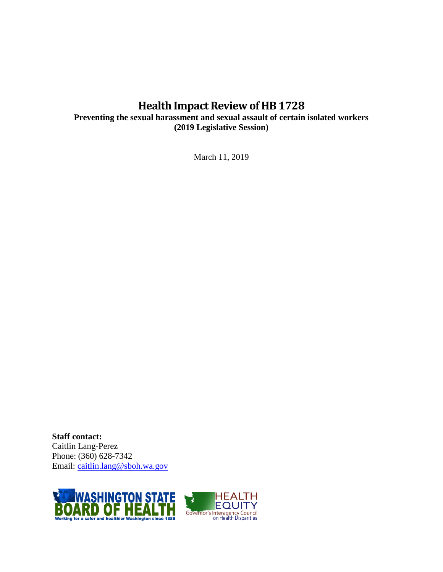# **Health Impact Review of HB 1728**

**Preventing the sexual harassment and sexual assault of certain isolated workers (2019 Legislative Session)**

March 11, 2019

**Staff contact:** Caitlin Lang-Perez Phone: (360) 628-7342 Email: [caitlin.lang@sboh.wa.gov](mailto:caitlin.lang@sboh.wa.gov)

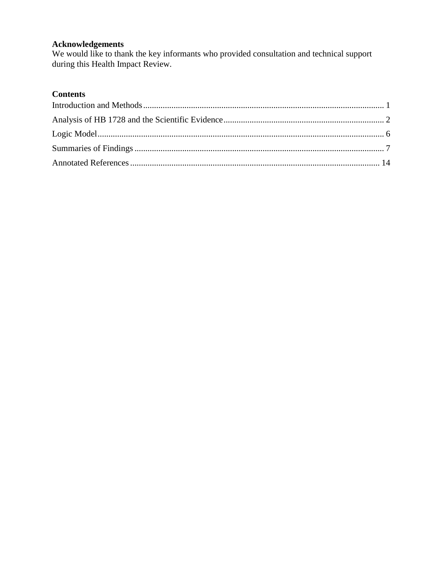# **Acknowledgements**

We would like to thank the key informants who provided consultation and technical support during this Health Impact Review.

# **Contents**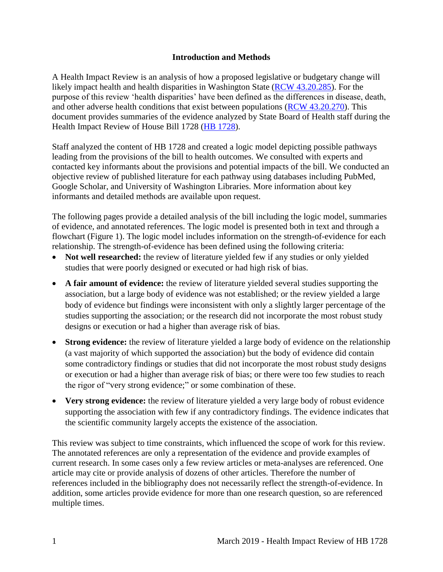#### **Introduction and Methods**

<span id="page-3-0"></span>A Health Impact Review is an analysis of how a proposed legislative or budgetary change will likely impact health and health disparities in Washington State [\(RCW 43.20.285\)](http://apps.leg.wa.gov/rcw/default.aspx?cite=43.20.285). For the purpose of this review 'health disparities' have been defined as the differences in disease, death, and other adverse health conditions that exist between populations [\(RCW 43.20.270\)](http://apps.leg.wa.gov/rcw/default.aspx?cite=43.20.270). This document provides summaries of the evidence analyzed by State Board of Health staff during the Health Impact Review of House Bill 1728 (HB [1728\)](https://app.leg.wa.gov/billsummary?BillNumber=1728&Chamber=House&Year=2019).

Staff analyzed the content of HB 1728 and created a logic model depicting possible pathways leading from the provisions of the bill to health outcomes. We consulted with experts and contacted key informants about the provisions and potential impacts of the bill. We conducted an objective review of published literature for each pathway using databases including PubMed, Google Scholar, and University of Washington Libraries. More information about key informants and detailed methods are available upon request.

The following pages provide a detailed analysis of the bill including the logic model, summaries of evidence, and annotated references. The logic model is presented both in text and through a flowchart (Figure 1). The logic model includes information on the strength-of-evidence for each relationship. The strength-of-evidence has been defined using the following criteria:

- Not well researched: the review of literature yielded few if any studies or only yielded studies that were poorly designed or executed or had high risk of bias.
- **A fair amount of evidence:** the review of literature yielded several studies supporting the association, but a large body of evidence was not established; or the review yielded a large body of evidence but findings were inconsistent with only a slightly larger percentage of the studies supporting the association; or the research did not incorporate the most robust study designs or execution or had a higher than average risk of bias.
- **Strong evidence:** the review of literature yielded a large body of evidence on the relationship (a vast majority of which supported the association) but the body of evidence did contain some contradictory findings or studies that did not incorporate the most robust study designs or execution or had a higher than average risk of bias; or there were too few studies to reach the rigor of "very strong evidence;" or some combination of these.
- Very strong evidence: the review of literature yielded a very large body of robust evidence supporting the association with few if any contradictory findings. The evidence indicates that the scientific community largely accepts the existence of the association.

This review was subject to time constraints, which influenced the scope of work for this review. The annotated references are only a representation of the evidence and provide examples of current research. In some cases only a few review articles or meta-analyses are referenced. One article may cite or provide analysis of dozens of other articles. Therefore the number of references included in the bibliography does not necessarily reflect the strength-of-evidence. In addition, some articles provide evidence for more than one research question, so are referenced multiple times.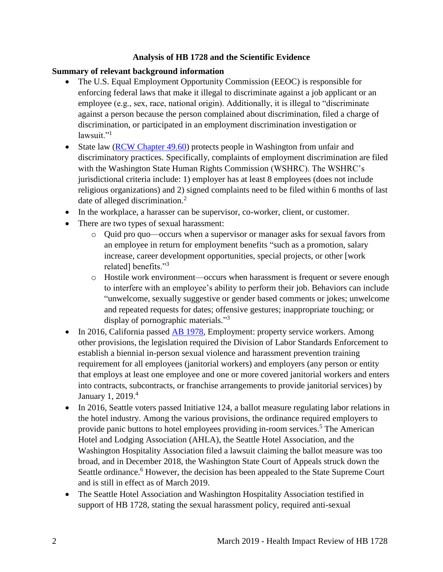### **Analysis of HB 1728 and the Scientific Evidence**

# <span id="page-4-0"></span>**Summary of relevant background information**

- The U.S. Equal Employment Opportunity Commission (EEOC) is responsible for enforcing federal laws that make it illegal to discriminate against a job applicant or an employee (e.g., sex, race, national origin). Additionally, it is illegal to "discriminate against a person because the person complained about discrimination, filed a charge of discrimination, or participated in an employment discrimination investigation or lawsuit."<sup>1</sup>
- State law [\(RCW Chapter 49.60\)](https://apps.leg.wa.gov/rcw/default.aspx?cite=49.60&full=true) protects people in Washington from unfair and discriminatory practices. Specifically, complaints of employment discrimination are filed with the Washington State Human Rights Commission (WSHRC). The WSHRC's jurisdictional criteria include: 1) employer has at least 8 employees (does not include religious organizations) and 2) signed complaints need to be filed within 6 months of last date of alleged discrimination.<sup>2</sup>
- In the workplace, a harasser can be supervisor, co-worker, client, or customer.
- There are two types of sexual harassment:
	- o Quid pro quo—occurs when a supervisor or manager asks for sexual favors from an employee in return for employment benefits "such as a promotion, salary increase, career development opportunities, special projects, or other [work related] benefits."<sup>3</sup>
	- o Hostile work environment—occurs when harassment is frequent or severe enough to interfere with an employee's ability to perform their job. Behaviors can include "unwelcome, sexually suggestive or gender based comments or jokes; unwelcome and repeated requests for dates; offensive gestures; inappropriate touching; or display of pornographic materials."<sup>3</sup>
- In 2016, California passed [AB 1978,](http://leginfo.legislature.ca.gov/faces/billTextClient.xhtml?bill_id=201520160AB1978) Employment: property service workers. Among other provisions, the legislation required the Division of Labor Standards Enforcement to establish a biennial in-person sexual violence and harassment prevention training requirement for all employees (janitorial workers) and employers (any person or entity that employs at least one employee and one or more covered janitorial workers and enters into contracts, subcontracts, or franchise arrangements to provide janitorial services) by January 1, 2019.<sup>4</sup>
- In 2016, Seattle voters passed Initiative 124, a ballot measure regulating labor relations in the hotel industry. Among the various provisions, the ordinance required employers to provide panic buttons to hotel employees providing in-room services.<sup>5</sup> The American Hotel and Lodging Association (AHLA), the Seattle Hotel Association, and the Washington Hospitality Association filed a lawsuit claiming the ballot measure was too broad, and in December 2018, the Washington State Court of Appeals struck down the Seattle ordinance.<sup>6</sup> However, the decision has been appealed to the State Supreme Court and is still in effect as of March 2019.
- The Seattle Hotel Association and Washington Hospitality Association testified in support of HB 1728, stating the sexual harassment policy, required anti-sexual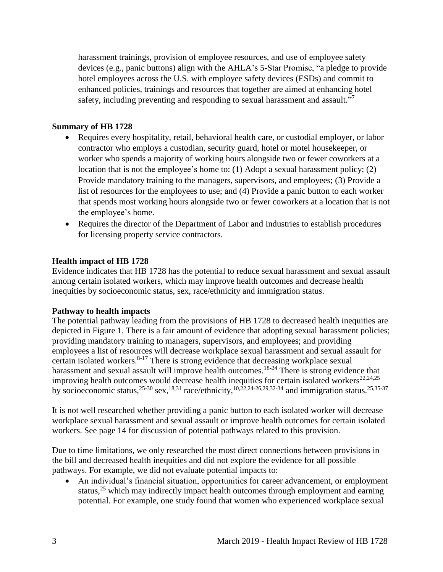harassment trainings, provision of employee resources, and use of employee safety devices (e.g., panic buttons) align with the AHLA's 5-Star Promise, "a pledge to provide hotel employees across the U.S. with employee safety devices (ESDs) and commit to enhanced policies, trainings and resources that together are aimed at enhancing hotel safety, including preventing and responding to sexual harassment and assault."<sup>7</sup>

### **Summary of HB 1728**

- Requires every hospitality, retail, behavioral health care, or custodial employer, or labor contractor who employs a custodian, security guard, hotel or motel housekeeper, or worker who spends a majority of working hours alongside two or fewer coworkers at a location that is not the employee's home to: (1) Adopt a sexual harassment policy; (2) Provide mandatory training to the managers, supervisors, and employees; (3) Provide a list of resources for the employees to use; and (4) Provide a panic button to each worker that spends most working hours alongside two or fewer coworkers at a location that is not the employee's home.
- Requires the director of the Department of Labor and Industries to establish procedures for licensing property service contractors.

# **Health impact of HB 1728**

Evidence indicates that HB 1728 has the potential to reduce sexual harassment and sexual assault among certain isolated workers, which may improve health outcomes and decrease health inequities by socioeconomic status, sex, race/ethnicity and immigration status.

### **Pathway to health impacts**

The potential pathway leading from the provisions of HB 1728 to decreased health inequities are depicted in Figure 1. There is a fair amount of evidence that adopting sexual harassment policies; providing mandatory training to managers, supervisors, and employees; and providing employees a list of resources will decrease workplace sexual harassment and sexual assault for certain isolated workers.<sup>8-17</sup> There is strong evidence that decreasing workplace sexual harassment and sexual assault will improve health outcomes.<sup>18-24</sup> There is strong evidence that improving health outcomes would decrease health inequities for certain isolated workers $22,24,25$  $22,24,25$  $22,24,25$ by socioeconomic status,<sup>25-30</sup> sex,<sup>[18](#page-24-0)[,31](#page-31-0)</sup> race/ethnicity,<sup>[10,](#page-20-0)[22,](#page-26-0)[24-26](#page-28-0)[,29](#page-31-1)[,32-34](#page-31-2)</sup> and immigration status.<sup>[25,](#page-29-0)[35-37](#page-32-0)</sup>

It is not well researched whether providing a panic button to each isolated worker will decrease workplace sexual harassment and sexual assault or improve health outcomes for certain isolated workers. See page 14 for discussion of potential pathways related to this provision.

Due to time limitations, we only researched the most direct connections between provisions in the bill and decreased health inequities and did not explore the evidence for all possible pathways. For example, we did not evaluate potential impacts to:

 An individual's financial situation, opportunities for career advancement, or employment status, $25$  which may indirectly impact health outcomes through employment and earning potential. For example, one study found that women who experienced workplace sexual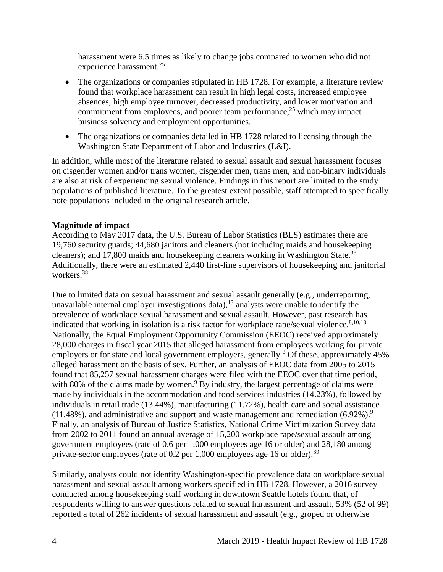harassment were 6.5 times as likely to change jobs compared to women who did not experience harassment.<sup>25</sup>

- The organizations or companies stipulated in HB 1728. For example, a literature review found that workplace harassment can result in high legal costs, increased employee absences, high employee turnover, decreased productivity, and lower motivation and commitment from employees, and poorer team performance,  $2<sup>5</sup>$  which may impact business solvency and employment opportunities.
- The organizations or companies detailed in HB 1728 related to licensing through the Washington State Department of Labor and Industries (L&I).

In addition, while most of the literature related to sexual assault and sexual harassment focuses on cisgender women and/or trans women, cisgender men, trans men, and non-binary individuals are also at risk of experiencing sexual violence. Findings in this report are limited to the study populations of published literature. To the greatest extent possible, staff attempted to specifically note populations included in the original research article.

# **Magnitude of impact**

According to May 2017 data, the U.S. Bureau of Labor Statistics (BLS) estimates there are 19,760 security guards; 44,680 janitors and cleaners (not including maids and housekeeping cleaners); and 17,800 maids and housekeeping cleaners working in Washington State.<sup>38</sup> Additionally, there were an estimated 2,440 first-line supervisors of housekeeping and janitorial workers.<sup>38</sup>

Due to limited data on sexual harassment and sexual assault generally (e.g., underreporting, unavailable internal employer investigations data),<sup>13</sup> analysts were unable to identify the prevalence of workplace sexual harassment and sexual assault. However, past research has indicated that working in isolation is a risk factor for workplace rape/sexual violence.<sup>[8](#page-18-0)[,10](#page-20-0)[,13](#page-21-0)</sup> Nationally, the Equal Employment Opportunity Commission (EEOC) received approximately 28,000 charges in fiscal year 2015 that alleged harassment from employees working for private employers or for state and local government employers, generally.<sup>8</sup> Of these, approximately 45% alleged harassment on the basis of sex. Further, an analysis of EEOC data from 2005 to 2015 found that 85,257 sexual harassment charges were filed with the EEOC over that time period, with 80% of the claims made by women.<sup>9</sup> By industry, the largest percentage of claims were made by individuals in the accommodation and food services industries (14.23%), followed by individuals in retail trade (13.44%), manufacturing (11.72%), health care and social assistance  $(11.48\%)$ , and administrative and support and waste management and remediation  $(6.92\%)$ . Finally, an analysis of Bureau of Justice Statistics, National Crime Victimization Survey data from 2002 to 2011 found an annual average of 15,200 workplace rape/sexual assault among government employees (rate of 0.6 per 1,000 employees age 16 or older) and 28,180 among private-sector employees (rate of 0.2 per 1,000 employees age 16 or older).<sup>39</sup>

Similarly, analysts could not identify Washington-specific prevalence data on workplace sexual harassment and sexual assault among workers specified in HB 1728. However, a 2016 survey conducted among housekeeping staff working in downtown Seattle hotels found that, of respondents willing to answer questions related to sexual harassment and assault, 53% (52 of 99) reported a total of 262 incidents of sexual harassment and assault (e.g., groped or otherwise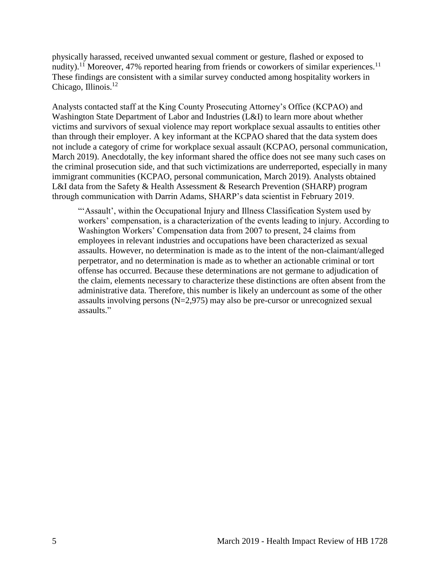physically harassed, received unwanted sexual comment or gesture, flashed or exposed to nudity).<sup>11</sup> Moreover, 47% reported hearing from friends or coworkers of similar experiences.<sup>11</sup> These findings are consistent with a similar survey conducted among hospitality workers in Chicago, Illinois.<sup>12</sup>

Analysts contacted staff at the King County Prosecuting Attorney's Office (KCPAO) and Washington State Department of Labor and Industries (L&I) to learn more about whether victims and survivors of sexual violence may report workplace sexual assaults to entities other than through their employer. A key informant at the KCPAO shared that the data system does not include a category of crime for workplace sexual assault (KCPAO, personal communication, March 2019). Anecdotally, the key informant shared the office does not see many such cases on the criminal prosecution side, and that such victimizations are underreported, especially in many immigrant communities (KCPAO, personal communication, March 2019). Analysts obtained L&I data from the Safety & Health Assessment & Research Prevention (SHARP) program through communication with Darrin Adams, SHARP's data scientist in February 2019.

"'Assault', within the Occupational Injury and Illness Classification System used by workers' compensation, is a characterization of the events leading to injury. According to Washington Workers' Compensation data from 2007 to present, 24 claims from employees in relevant industries and occupations have been characterized as sexual assaults. However, no determination is made as to the intent of the non-claimant/alleged perpetrator, and no determination is made as to whether an actionable criminal or tort offense has occurred. Because these determinations are not germane to adjudication of the claim, elements necessary to characterize these distinctions are often absent from the administrative data. Therefore, this number is likely an undercount as some of the other assaults involving persons  $(N=2,975)$  may also be pre-cursor or unrecognized sexual assaults."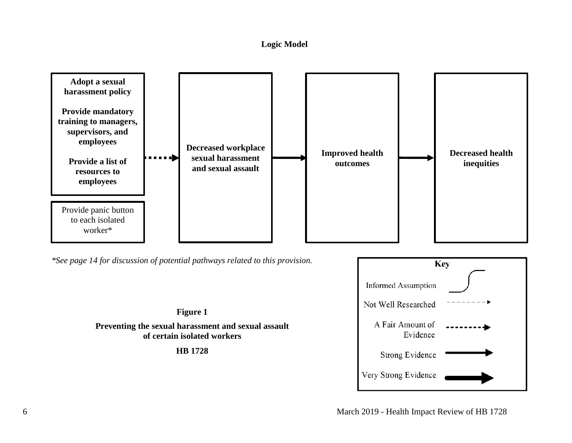#### **Logic Model**

<span id="page-8-0"></span>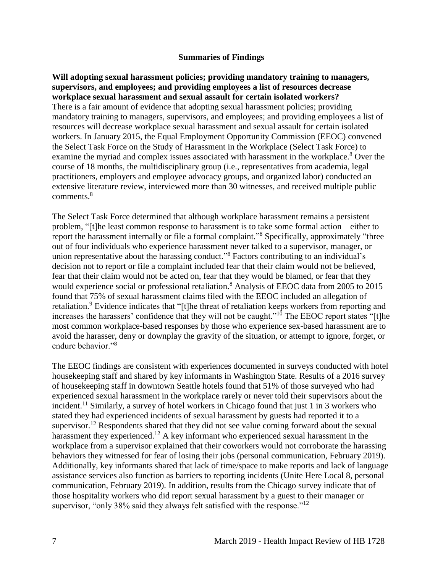#### **Summaries of Findings**

<span id="page-9-0"></span>**Will adopting sexual harassment policies; providing mandatory training to managers, supervisors, and employees; and providing employees a list of resources decrease workplace sexual harassment and sexual assault for certain isolated workers?**  There is a fair amount of evidence that adopting sexual harassment policies; providing mandatory training to managers, supervisors, and employees; and providing employees a list of resources will decrease workplace sexual harassment and sexual assault for certain isolated workers. In January 2015, the Equal Employment Opportunity Commission (EEOC) convened the Select Task Force on the Study of Harassment in the Workplace (Select Task Force) to examine the myriad and complex issues associated with harassment in the workplace.<sup>8</sup> Over the course of 18 months, the multidisciplinary group (i.e., representatives from academia, legal practitioners, employers and employee advocacy groups, and organized labor) conducted an extensive literature review, interviewed more than 30 witnesses, and received multiple public comments. 8

The Select Task Force determined that although workplace harassment remains a persistent problem, "[t]he least common response to harassment is to take some formal action – either to report the harassment internally or file a formal complaint."<sup>8</sup> Specifically, approximately "three out of four individuals who experience harassment never talked to a supervisor, manager, or union representative about the harassing conduct." <sup>8</sup> Factors contributing to an individual's decision not to report or file a complaint included fear that their claim would not be believed, fear that their claim would not be acted on, fear that they would be blamed, or fear that they would experience social or professional retaliation.<sup>8</sup> Analysis of EEOC data from 2005 to 2015 found that 75% of sexual harassment claims filed with the EEOC included an allegation of retaliation.<sup>9</sup> Evidence indicates that "[t]he threat of retaliation keeps workers from reporting and increases the harassers' confidence that they will not be caught."<sup>10</sup> The EEOC report states "[t]he most common workplace-based responses by those who experience sex-based harassment are to avoid the harasser, deny or downplay the gravity of the situation, or attempt to ignore, forget, or endure behavior."<sup>8</sup>

The EEOC findings are consistent with experiences documented in surveys conducted with hotel housekeeping staff and shared by key informants in Washington State. Results of a 2016 survey of housekeeping staff in downtown Seattle hotels found that 51% of those surveyed who had experienced sexual harassment in the workplace rarely or never told their supervisors about the incident.<sup>11</sup> Similarly, a survey of hotel workers in Chicago found that just 1 in 3 workers who stated they had experienced incidents of sexual harassment by guests had reported it to a supervisor.<sup>12</sup> Respondents shared that they did not see value coming forward about the sexual harassment they experienced.<sup>12</sup> A key informant who experienced sexual harassment in the workplace from a supervisor explained that their coworkers would not corroborate the harassing behaviors they witnessed for fear of losing their jobs (personal communication, February 2019). Additionally, key informants shared that lack of time/space to make reports and lack of language assistance services also function as barriers to reporting incidents (Unite Here Local 8, personal communication, February 2019). In addition, results from the Chicago survey indicate that of those hospitality workers who did report sexual harassment by a guest to their manager or supervisor, "only 38% said they always felt satisfied with the response."<sup>12</sup>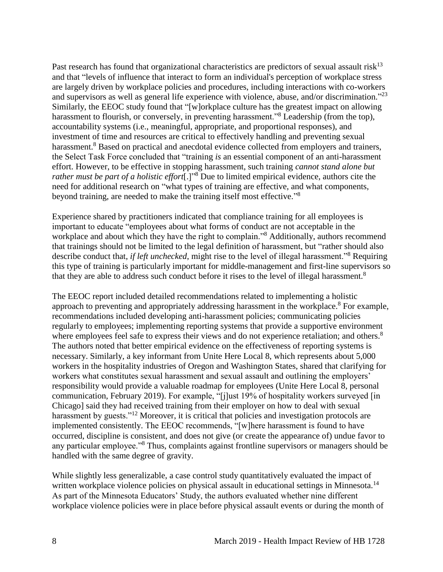Past research has found that organizational characteristics are predictors of sexual assault risk<sup>13</sup> and that "levels of influence that interact to form an individual's perception of workplace stress are largely driven by workplace policies and procedures, including interactions with co-workers and supervisors as well as general life experience with violence, abuse, and/or discrimination."<sup>23</sup> Similarly, the EEOC study found that "[w]orkplace culture has the greatest impact on allowing harassment to flourish, or conversely, in preventing harassment.<sup>38</sup> Leadership (from the top), accountability systems (i.e., meaningful, appropriate, and proportional responses), and investment of time and resources are critical to effectively handling and preventing sexual harassment.<sup>8</sup> Based on practical and anecdotal evidence collected from employers and trainers, the Select Task Force concluded that "training *is* an essential component of an anti-harassment effort. However, to be effective in stopping harassment, such training *cannot stand alone but rather must be part of a holistic effort*[.]"<sup>8</sup> Due to limited empirical evidence, authors cite the need for additional research on "what types of training are effective, and what components, beyond training, are needed to make the training itself most effective."<sup>8</sup>

Experience shared by practitioners indicated that compliance training for all employees is important to educate "employees about what forms of conduct are not acceptable in the workplace and about which they have the right to complain."<sup>8</sup> Additionally, authors recommend that trainings should not be limited to the legal definition of harassment, but "rather should also describe conduct that, *if left unchecked*, might rise to the level of illegal harassment."<sup>8</sup> Requiring this type of training is particularly important for middle-management and first-line supervisors so that they are able to address such conduct before it rises to the level of illegal harassment.<sup>8</sup>

The EEOC report included detailed recommendations related to implementing a holistic approach to preventing and appropriately addressing harassment in the workplace.<sup>8</sup> For example, recommendations included developing anti-harassment policies; communicating policies regularly to employees; implementing reporting systems that provide a supportive environment where employees feel safe to express their views and do not experience retaliation; and others.<sup>8</sup> The authors noted that better empirical evidence on the effectiveness of reporting systems is necessary. Similarly, a key informant from Unite Here Local 8, which represents about 5,000 workers in the hospitality industries of Oregon and Washington States, shared that clarifying for workers what constitutes sexual harassment and sexual assault and outlining the employers' responsibility would provide a valuable roadmap for employees (Unite Here Local 8, personal communication, February 2019). For example, "[j]ust 19% of hospitality workers surveyed [in Chicago] said they had received training from their employer on how to deal with sexual harassment by guests."<sup>12</sup> Moreover, it is critical that policies and investigation protocols are implemented consistently. The EEOC recommends, "[w]here harassment is found to have occurred, discipline is consistent, and does not give (or create the appearance of) undue favor to any particular employee."<sup>8</sup> Thus, complaints against frontline supervisors or managers should be handled with the same degree of gravity.

While slightly less generalizable, a case control study quantitatively evaluated the impact of written workplace violence policies on physical assault in educational settings in Minnesota.<sup>14</sup> As part of the Minnesota Educators' Study, the authors evaluated whether nine different workplace violence policies were in place before physical assault events or during the month of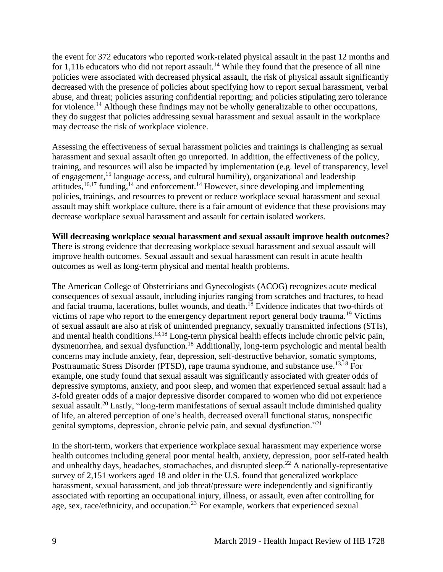the event for 372 educators who reported work-related physical assault in the past 12 months and for 1,116 educators who did not report assault.<sup>14</sup> While they found that the presence of all nine policies were associated with decreased physical assault, the risk of physical assault significantly decreased with the presence of policies about specifying how to report sexual harassment, verbal abuse, and threat; policies assuring confidential reporting; and policies stipulating zero tolerance for violence.<sup>14</sup> Although these findings may not be wholly generalizable to other occupations, they do suggest that policies addressing sexual harassment and sexual assault in the workplace may decrease the risk of workplace violence.

Assessing the effectiveness of sexual harassment policies and trainings is challenging as sexual harassment and sexual assault often go unreported. In addition, the effectiveness of the policy, training, and resources will also be impacted by implementation (e.g. level of transparency, level of engagement,<sup>15</sup> language access, and cultural humility), organizational and leadership attitudes,  $16,17$  $16,17$  funding,  $14$  and enforcement.  $14$  However, since developing and implementing policies, trainings, and resources to prevent or reduce workplace sexual harassment and sexual assault may shift workplace culture, there is a fair amount of evidence that these provisions may decrease workplace sexual harassment and assault for certain isolated workers.

#### **Will decreasing workplace sexual harassment and sexual assault improve health outcomes?**

There is strong evidence that decreasing workplace sexual harassment and sexual assault will improve health outcomes. Sexual assault and sexual harassment can result in acute health outcomes as well as long-term physical and mental health problems.

The American College of Obstetricians and Gynecologists (ACOG) recognizes acute medical consequences of sexual assault, including injuries ranging from scratches and fractures, to head and facial trauma, lacerations, bullet wounds, and death.<sup>18</sup> Evidence indicates that two-thirds of victims of rape who report to the emergency department report general body trauma.<sup>19</sup> Victims of sexual assault are also at risk of unintended pregnancy, sexually transmitted infections (STIs), and mental health conditions.<sup>[13,](#page-21-0)[18](#page-24-0)</sup> Long-term physical health effects include chronic pelvic pain, dysmenorrhea, and sexual dysfunction.<sup>18</sup> Additionally, long-term psychologic and mental health concerns may include anxiety, fear, depression, self-destructive behavior, somatic symptoms, Posttraumatic Stress Disorder (PTSD), rape trauma syndrome, and substance use.<sup>[13,](#page-21-0)[18](#page-24-0)</sup> For example, one study found that sexual assault was significantly associated with greater odds of depressive symptoms, anxiety, and poor sleep, and women that experienced sexual assault had a 3-fold greater odds of a major depressive disorder compared to women who did not experience sexual assault.<sup>20</sup> Lastly, "long-term manifestations of sexual assault include diminished quality of life, an altered perception of one's health, decreased overall functional status, nonspecific genital symptoms, depression, chronic pelvic pain, and sexual dysfunction."<sup>21</sup>

In the short-term, workers that experience workplace sexual harassment may experience worse health outcomes including general poor mental health, anxiety, depression, poor self-rated health and unhealthy days, headaches, stomachaches, and disrupted sleep.<sup>22</sup> A nationally-representative survey of 2,151 workers aged 18 and older in the U.S. found that generalized workplace harassment, sexual harassment, and job threat/pressure were independently and significantly associated with reporting an occupational injury, illness, or assault, even after controlling for age, sex, race/ethnicity, and occupation.<sup>23</sup> For example, workers that experienced sexual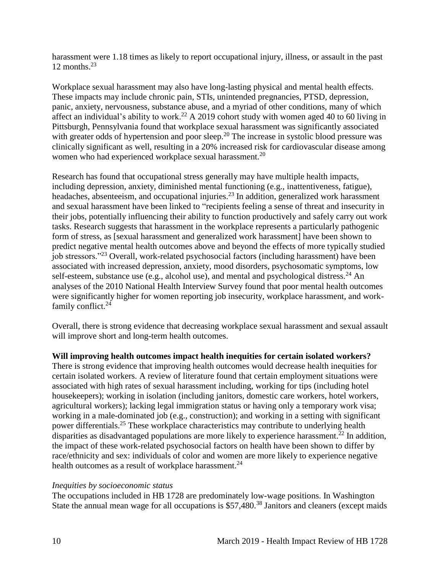harassment were 1.18 times as likely to report occupational injury, illness, or assault in the past 12 months. $^{23}$ 

Workplace sexual harassment may also have long-lasting physical and mental health effects. These impacts may include chronic pain, STIs, unintended pregnancies, PTSD, depression, panic, anxiety, nervousness, substance abuse, and a myriad of other conditions, many of which affect an individual's ability to work.<sup>22</sup> A 2019 cohort study with women aged 40 to 60 living in Pittsburgh, Pennsylvania found that workplace sexual harassment was significantly associated with greater odds of hypertension and poor sleep.<sup>20</sup> The increase in systolic blood pressure was clinically significant as well, resulting in a 20% increased risk for cardiovascular disease among women who had experienced workplace sexual harassment.<sup>20</sup>

Research has found that occupational stress generally may have multiple health impacts, including depression, anxiety, diminished mental functioning (e.g., inattentiveness, fatigue), headaches, absenteeism, and occupational injuries.<sup>23</sup> In addition, generalized work harassment and sexual harassment have been linked to "recipients feeling a sense of threat and insecurity in their jobs, potentially influencing their ability to function productively and safely carry out work tasks. Research suggests that harassment in the workplace represents a particularly pathogenic form of stress, as [sexual harassment and generalized work harassment] have been shown to predict negative mental health outcomes above and beyond the effects of more typically studied job stressors."<sup>23</sup> Overall, work-related psychosocial factors (including harassment) have been associated with increased depression, anxiety, mood disorders, psychosomatic symptoms, low self-esteem, substance use (e.g., alcohol use), and mental and psychological distress.<sup>24</sup> An analyses of the 2010 National Health Interview Survey found that poor mental health outcomes were significantly higher for women reporting job insecurity, workplace harassment, and workfamily conflict.<sup>24</sup>

Overall, there is strong evidence that decreasing workplace sexual harassment and sexual assault will improve short and long-term health outcomes.

**Will improving health outcomes impact health inequities for certain isolated workers?**

There is strong evidence that improving health outcomes would decrease health inequities for certain isolated workers. A review of literature found that certain employment situations were associated with high rates of sexual harassment including, working for tips (including hotel housekeepers); working in isolation (including janitors, domestic care workers, hotel workers, agricultural workers); lacking legal immigration status or having only a temporary work visa; working in a male-dominated job (e.g., construction); and working in a setting with significant power differentials.<sup>25</sup> These workplace characteristics may contribute to underlying health disparities as disadvantaged populations are more likely to experience harassment.<sup>22</sup> In addition, the impact of these work-related psychosocial factors on health have been shown to differ by race/ethnicity and sex: individuals of color and women are more likely to experience negative health outcomes as a result of workplace harassment.<sup>24</sup>

### *Inequities by socioeconomic status*

The occupations included in HB 1728 are predominately low-wage positions. In Washington State the annual mean wage for all occupations is \$57,480.<sup>38</sup> Janitors and cleaners (except maids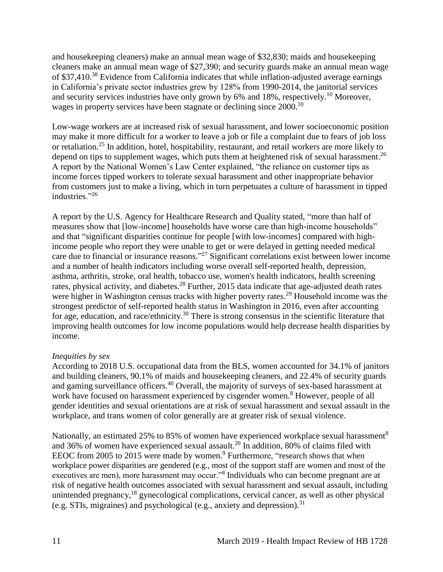and housekeeping cleaners) make an annual mean wage of \$32,830; maids and housekeeping cleaners make an annual mean wage of \$27,390; and security guards make an annual mean wage of \$37,410.<sup>38</sup> Evidence from California indicates that while inflation-adjusted average earnings in California's private sector industries grew by 128% from 1990-2014, the janitorial services and security services industries have only grown by 6% and 18%, respectively.<sup>10</sup> Moreover, wages in property services have been stagnate or declining since 2000.<sup>10</sup>

Low-wage workers are at increased risk of sexual harassment, and lower socioeconomic position may make it more difficult for a worker to leave a job or file a complaint due to fears of job loss or retaliation.<sup>25</sup> In addition, hotel, hospitability, restaurant, and retail workers are more likely to depend on tips to supplement wages, which puts them at heightened risk of sexual harassment.<sup>26</sup> A report by the National Women's Law Center explained, "the reliance on customer tips as income forces tipped workers to tolerate sexual harassment and other inappropriate behavior from customers just to make a living, which in turn perpetuates a culture of harassment in tipped industries."<sup>26</sup>

A report by the U.S. Agency for Healthcare Research and Quality stated, "more than half of measures show that [low-income] households have worse care than high-income households" and that "significant disparities continue for people [with low-incomes] compared with highincome people who report they were unable to get or were delayed in getting needed medical care due to financial or insurance reasons."<sup>27</sup> Significant correlations exist between lower income and a number of health indicators including worse overall self-reported health, depression, asthma, arthritis, stroke, oral health, tobacco use, women's health indicators, health screening rates, physical activity, and diabetes.<sup>28</sup> Further, 2015 data indicate that age-adjusted death rates were higher in Washington census tracks with higher poverty rates.<sup>29</sup> Household income was the strongest predictor of self-reported health status in Washington in 2016, even after accounting for age, education, and race/ethnicity.<sup>30</sup> There is strong consensus in the scientific literature that improving health outcomes for low income populations would help decrease health disparities by income.

### *Inequities by sex*

According to 2018 U.S. occupational data from the BLS, women accounted for 34.1% of janitors and building cleaners, 90.1% of maids and housekeeping cleaners, and 22.4% of security guards and gaming surveillance officers.<sup>40</sup> Overall, the majority of surveys of sex-based harassment at work have focused on harassment experienced by cisgender women.<sup>8</sup> However, people of all gender identities and sexual orientations are at risk of sexual harassment and sexual assault in the workplace, and trans women of color generally are at greater risk of sexual violence.

Nationally, an estimated 25% to 85% of women have experienced workplace sexual harassment<sup>8</sup> and 36% of women have experienced sexual assault.<sup>20</sup> In addition, 80% of claims filed with EEOC from 2005 to 2015 were made by women.<sup>9</sup> Furthermore, "research shows that when workplace power disparities are gendered (e.g., most of the support staff are women and most of the executives are men), more harassment may occur."<sup>8</sup> Individuals who can become pregnant are at risk of negative health outcomes associated with sexual harassment and sexual assault, including unintended pregnancy,<sup>18</sup> gynecological complications, cervical cancer, as well as other physical (e.g. STIs, migraines) and psychological (e.g., anxiety and depression).<sup>31</sup>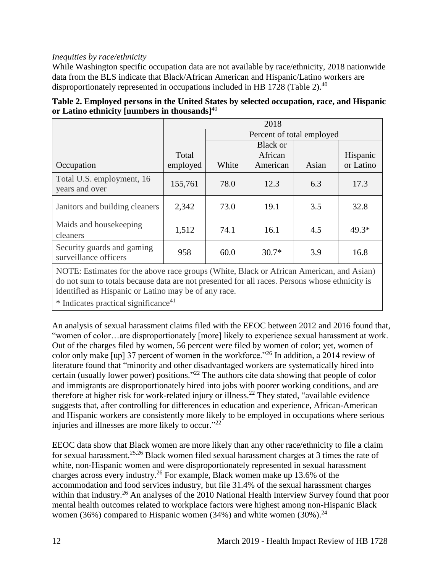## *Inequities by race/ethnicity*

While Washington specific occupation data are not available by race/ethnicity, 2018 nationwide data from the BLS indicate that Black/African American and Hispanic/Latino workers are disproportionately represented in occupations included in HB 1728 (Table 2).<sup>40</sup>

|                                                     | 2018     |                           |                 |       |           |  |
|-----------------------------------------------------|----------|---------------------------|-----------------|-------|-----------|--|
|                                                     |          | Percent of total employed |                 |       |           |  |
|                                                     |          |                           | <b>Black or</b> |       |           |  |
|                                                     | Total    |                           | African         |       | Hispanic  |  |
| Occupation                                          | employed | White                     | American        | Asian | or Latino |  |
| Total U.S. employment, 16<br>years and over         | 155,761  | 78.0                      | 12.3            | 6.3   | 17.3      |  |
| Janitors and building cleaners                      | 2,342    | 73.0                      | 19.1            | 3.5   | 32.8      |  |
| Maids and house keeping<br>cleaners                 | 1,512    | 74.1                      | 16.1            | 4.5   | $49.3*$   |  |
| Security guards and gaming<br>surveillance officers | 958      | 60.0                      | $30.7*$         | 3.9   | 16.8      |  |

| Table 2. Employed persons in the United States by selected occupation, race, and Hispanic |
|-------------------------------------------------------------------------------------------|
| or Latino ethnicity [numbers in thousands] $40$                                           |

NOTE: Estimates for the above race groups (White, Black or African American, and Asian) do not sum to totals because data are not presented for all races. Persons whose ethnicity is identified as Hispanic or Latino may be of any race.

 $*$  Indicates practical significance<sup>41</sup>

An analysis of sexual harassment claims filed with the EEOC between 2012 and 2016 found that, "women of color…are disproportionately [more] likely to experience sexual harassment at work. Out of the charges filed by women, 56 percent were filed by women of color; yet, women of color only make [up] 37 percent of women in the workforce."<sup>26</sup> In addition, a 2014 review of literature found that "minority and other disadvantaged workers are systematically hired into certain (usually lower power) positions."<sup>22</sup> The authors cite data showing that people of color and immigrants are disproportionately hired into jobs with poorer working conditions, and are therefore at higher risk for work-related injury or illness.<sup>22</sup> They stated, "available evidence" suggests that, after controlling for differences in education and experience, African-American and Hispanic workers are consistently more likely to be employed in occupations where serious injuries and illnesses are more likely to occur." 22

EEOC data show that Black women are more likely than any other race/ethnicity to file a claim for sexual harassment.[25,](#page-29-0)[26](#page-30-0) Black women filed sexual harassment charges at 3 times the rate of white, non-Hispanic women and were disproportionately represented in sexual harassment charges across every industry.<sup>26</sup> For example, Black women make up 13.6% of the accommodation and food services industry, but file 31.4% of the sexual harassment charges within that industry.<sup>26</sup> An analyses of the 2010 National Health Interview Survey found that poor mental health outcomes related to workplace factors were highest among non-Hispanic Black women (36%) compared to Hispanic women (34%) and white women (30%).<sup>24</sup>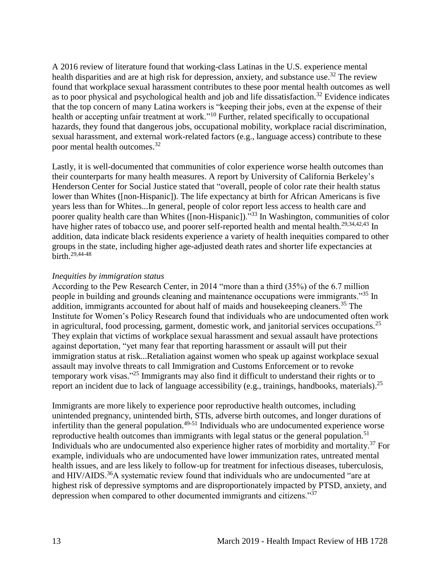A 2016 review of literature found that working-class Latinas in the U.S. experience mental health disparities and are at high risk for depression, anxiety, and substance use.<sup>32</sup> The review found that workplace sexual harassment contributes to these poor mental health outcomes as well as to poor physical and psychological health and job and life dissatisfaction.<sup>32</sup> Evidence indicates that the top concern of many Latina workers is "keeping their jobs, even at the expense of their health or accepting unfair treatment at work."<sup>10</sup> Further, related specifically to occupational hazards, they found that dangerous jobs, occupational mobility, workplace racial discrimination, sexual harassment, and external work-related factors (e.g., language access) contribute to these poor mental health outcomes.<sup>32</sup>

Lastly, it is well-documented that communities of color experience worse health outcomes than their counterparts for many health measures. A report by University of California Berkeley's Henderson Center for Social Justice stated that "overall, people of color rate their health status lower than Whites ([non-Hispanic]). The life expectancy at birth for African Americans is five years less than for Whites...In general, people of color report less access to health care and poorer quality health care than Whites ([non-Hispanic])."<sup>33</sup> In Washington, communities of color have higher rates of tobacco use, and poorer self-reported health and mental health.<sup>[29](#page-31-1)[,34](#page-32-1)[,42](#page-35-0)[,43](#page-36-0)</sup> In addition, data indicate black residents experience a variety of health inequities compared to other groups in the state, including higher age-adjusted death rates and shorter life expectancies at birth.[29,](#page-31-1)[44-48](#page-36-1)

#### *Inequities by immigration status*

According to the Pew Research Center, in 2014 "more than a third (35%) of the 6.7 million people in building and grounds cleaning and maintenance occupations were immigrants."<sup>35</sup> In addition, immigrants accounted for about half of maids and housekeeping cleaners.<sup>35</sup> The Institute for Women's Policy Research found that individuals who are undocumented often work in agricultural, food processing, garment, domestic work, and janitorial services occupations.<sup>25</sup> They explain that victims of workplace sexual harassment and sexual assault have protections against deportation, "yet many fear that reporting harassment or assault will put their immigration status at risk...Retaliation against women who speak up against workplace sexual assault may involve threats to call Immigration and Customs Enforcement or to revoke temporary work visas."<sup>25</sup> Immigrants may also find it difficult to understand their rights or to report an incident due to lack of language accessibility (e.g., trainings, handbooks, materials).<sup>25</sup>

Immigrants are more likely to experience poor reproductive health outcomes, including unintended pregnancy, unintended birth, STIs, adverse birth outcomes, and longer durations of infertility than the general population.<sup> $49-51$ </sup> Individuals who are undocumented experience worse reproductive health outcomes than immigrants with legal status or the general population.<sup>51</sup> Individuals who are undocumented also experience higher rates of morbidity and mortality.<sup>37</sup> For example, individuals who are undocumented have lower immunization rates, untreated mental health issues, and are less likely to follow-up for treatment for infectious diseases, tuberculosis, and HIV/AIDS.<sup>36</sup>A systematic review found that individuals who are undocumented "are at highest risk of depressive symptoms and are disproportionately impacted by PTSD, anxiety, and depression when compared to other documented immigrants and citizens."<sup>37</sup>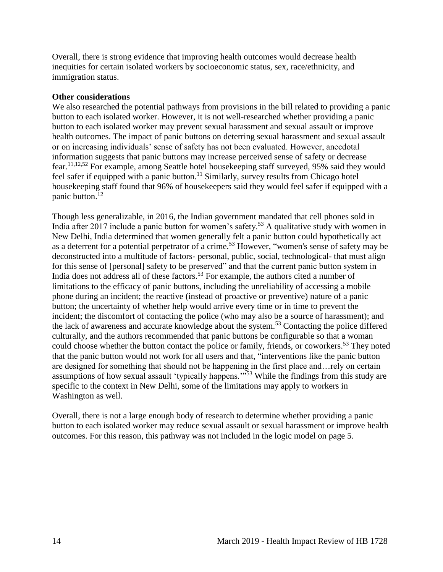Overall, there is strong evidence that improving health outcomes would decrease health inequities for certain isolated workers by socioeconomic status, sex, race/ethnicity, and immigration status.

#### **Other considerations**

<span id="page-16-0"></span>We also researched the potential pathways from provisions in the bill related to providing a panic button to each isolated worker. However, it is not well-researched whether providing a panic button to each isolated worker may prevent sexual harassment and sexual assault or improve health outcomes. The impact of panic buttons on deterring sexual harassment and sexual assault or on increasing individuals' sense of safety has not been evaluated. However, anecdotal information suggests that panic buttons may increase perceived sense of safety or decrease fear.[11,](#page-20-1)[12,](#page-20-2)[52](#page-39-0) For example, among Seattle hotel housekeeping staff surveyed, 95% said they would feel safer if equipped with a panic button.<sup>11</sup> Similarly, survey results from Chicago hotel housekeeping staff found that 96% of housekeepers said they would feel safer if equipped with a panic button.<sup>12</sup>

Though less generalizable, in 2016, the Indian government mandated that cell phones sold in India after 2017 include a panic button for women's safety.<sup>53</sup> A qualitative study with women in New Delhi, India determined that women generally felt a panic button could hypothetically act as a deterrent for a potential perpetrator of a crime.<sup>53</sup> However, "women's sense of safety may be deconstructed into a multitude of factors- personal, public, social, technological- that must align for this sense of [personal] safety to be preserved" and that the current panic button system in India does not address all of these factors.<sup>53</sup> For example, the authors cited a number of limitations to the efficacy of panic buttons, including the unreliability of accessing a mobile phone during an incident; the reactive (instead of proactive or preventive) nature of a panic button; the uncertainty of whether help would arrive every time or in time to prevent the incident; the discomfort of contacting the police (who may also be a source of harassment); and the lack of awareness and accurate knowledge about the system.<sup>53</sup> Contacting the police differed culturally, and the authors recommended that panic buttons be configurable so that a woman could choose whether the button contact the police or family, friends, or coworkers.<sup>53</sup> They noted that the panic button would not work for all users and that, "interventions like the panic button are designed for something that should not be happening in the first place and…rely on certain assumptions of how sexual assault 'typically happens.'"<sup>53</sup> While the findings from this study are specific to the context in New Delhi, some of the limitations may apply to workers in Washington as well.

Overall, there is not a large enough body of research to determine whether providing a panic button to each isolated worker may reduce sexual assault or sexual harassment or improve health outcomes. For this reason, this pathway was not included in the logic model on page 5.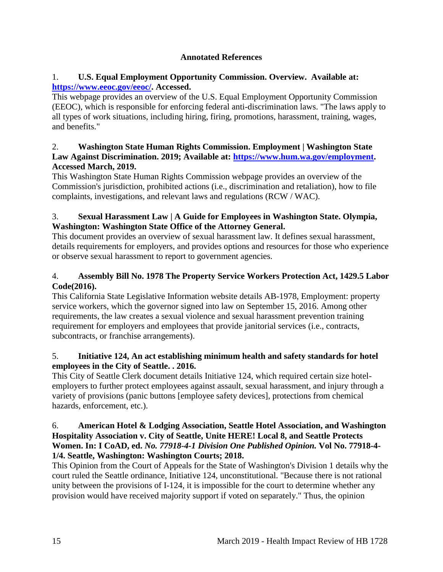# **Annotated References**

# 1. **U.S. Equal Employment Opportunity Commission. Overview. Available at: [https://www.eeoc.gov/eeoc/.](https://www.eeoc.gov/eeoc/) Accessed.**

This webpage provides an overview of the U.S. Equal Employment Opportunity Commission (EEOC), which is responsible for enforcing federal anti-discrimination laws. "The laws apply to all types of work situations, including hiring, firing, promotions, harassment, training, wages, and benefits."

### 2. **Washington State Human Rights Commission. Employment | Washington State Law Against Discrimination. 2019; Available at: [https://www.hum.wa.gov/employment.](https://www.hum.wa.gov/employment) Accessed March, 2019.**

This Washington State Human Rights Commission webpage provides an overview of the Commission's jurisdiction, prohibited actions (i.e., discrimination and retaliation), how to file complaints, investigations, and relevant laws and regulations (RCW / WAC).

# 3. **Sexual Harassment Law | A Guide for Employees in Washington State. Olympia, Washington: Washington State Office of the Attorney General.**

This document provides an overview of sexual harassment law. It defines sexual harassment, details requirements for employers, and provides options and resources for those who experience or observe sexual harassment to report to government agencies.

# 4. **Assembly Bill No. 1978 The Property Service Workers Protection Act, 1429.5 Labor Code(2016).**

This California State Legislative Information website details AB-1978, Employment: property service workers, which the governor signed into law on September 15, 2016. Among other requirements, the law creates a sexual violence and sexual harassment prevention training requirement for employers and employees that provide janitorial services (i.e., contracts, subcontracts, or franchise arrangements).

# 5. **Initiative 124, An act establishing minimum health and safety standards for hotel employees in the City of Seattle. . 2016.**

This City of Seattle Clerk document details Initiative 124, which required certain size hotelemployers to further protect employees against assault, sexual harassment, and injury through a variety of provisions (panic buttons [employee safety devices], protections from chemical hazards, enforcement, etc.).

# 6. **American Hotel & Lodging Association, Seattle Hotel Association, and Washington Hospitality Association v. City of Seattle, Unite HERE! Local 8, and Seattle Protects Women. In: I CoAD, ed.** *No. 77918-4-1 Division One Published Opinion.* **Vol No. 77918-4- 1/4. Seattle, Washington: Washington Courts; 2018.**

This Opinion from the Court of Appeals for the State of Washington's Division 1 details why the court ruled the Seattle ordinance, Initiative 124, unconstitutional. "Because there is not rational unity between the provisions of I-124, it is impossible for the court to determine whether any provision would have received majority support if voted on separately." Thus, the opinion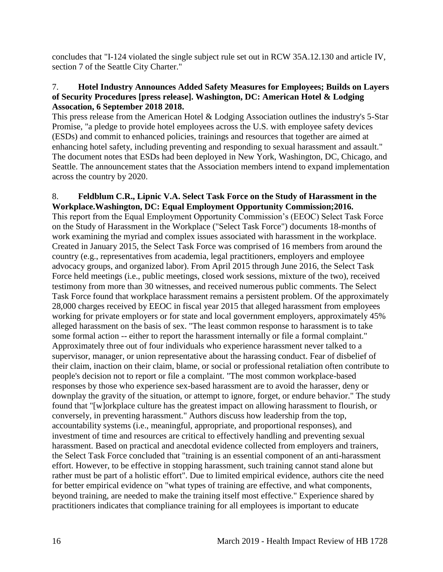concludes that "I-124 violated the single subject rule set out in RCW 35A.12.130 and article IV, section 7 of the Seattle City Charter."

## 7. **Hotel Industry Announces Added Safety Measures for Employees; Builds on Layers of Security Procedures [press release]. Washington, DC: American Hotel & Lodging Assocation, 6 September 2018 2018.**

This press release from the American Hotel & Lodging Association outlines the industry's 5-Star Promise, "a pledge to provide hotel employees across the U.S. with employee safety devices (ESDs) and commit to enhanced policies, trainings and resources that together are aimed at enhancing hotel safety, including preventing and responding to sexual harassment and assault." The document notes that ESDs had been deployed in New York, Washington, DC, Chicago, and Seattle. The announcement states that the Association members intend to expand implementation across the country by 2020.

#### <span id="page-18-0"></span>8. **Feldblum C.R., Lipnic V.A. Select Task Force on the Study of Harassment in the Workplace.Washington, DC: Equal Employment Opportunity Commission;2016.**

This report from the Equal Employment Opportunity Commission's (EEOC) Select Task Force on the Study of Harassment in the Workplace ("Select Task Force") documents 18-months of work examining the myriad and complex issues associated with harassment in the workplace. Created in January 2015, the Select Task Force was comprised of 16 members from around the country (e.g., representatives from academia, legal practitioners, employers and employee advocacy groups, and organized labor). From April 2015 through June 2016, the Select Task Force held meetings (i.e., public meetings, closed work sessions, mixture of the two), received testimony from more than 30 witnesses, and received numerous public comments. The Select Task Force found that workplace harassment remains a persistent problem. Of the approximately 28,000 charges received by EEOC in fiscal year 2015 that alleged harassment from employees working for private employers or for state and local government employers, approximately 45% alleged harassment on the basis of sex. "The least common response to harassment is to take some formal action -- either to report the harassment internally or file a formal complaint." Approximately three out of four individuals who experience harassment never talked to a supervisor, manager, or union representative about the harassing conduct. Fear of disbelief of their claim, inaction on their claim, blame, or social or professional retaliation often contribute to people's decision not to report or file a complaint. "The most common workplace-based responses by those who experience sex-based harassment are to avoid the harasser, deny or downplay the gravity of the situation, or attempt to ignore, forget, or endure behavior." The study found that "[w]orkplace culture has the greatest impact on allowing harassment to flourish, or conversely, in preventing harassment." Authors discuss how leadership from the top, accountability systems (i.e., meaningful, appropriate, and proportional responses), and investment of time and resources are critical to effectively handling and preventing sexual harassment. Based on practical and anecdotal evidence collected from employers and trainers, the Select Task Force concluded that "training is an essential component of an anti-harassment effort. However, to be effective in stopping harassment, such training cannot stand alone but rather must be part of a holistic effort". Due to limited empirical evidence, authors cite the need for better empirical evidence on "what types of training are effective, and what components, beyond training, are needed to make the training itself most effective." Experience shared by practitioners indicates that compliance training for all employees is important to educate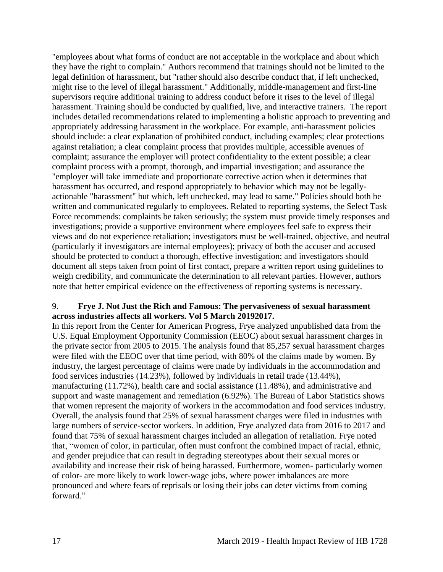"employees about what forms of conduct are not acceptable in the workplace and about which they have the right to complain." Authors recommend that trainings should not be limited to the legal definition of harassment, but "rather should also describe conduct that, if left unchecked, might rise to the level of illegal harassment." Additionally, middle-management and first-line supervisors require additional training to address conduct before it rises to the level of illegal harassment. Training should be conducted by qualified, live, and interactive trainers. The report includes detailed recommendations related to implementing a holistic approach to preventing and appropriately addressing harassment in the workplace. For example, anti-harassment policies should include: a clear explanation of prohibited conduct, including examples; clear protections against retaliation; a clear complaint process that provides multiple, accessible avenues of complaint; assurance the employer will protect confidentiality to the extent possible; a clear complaint process with a prompt, thorough, and impartial investigation; and assurance the "employer will take immediate and proportionate corrective action when it determines that harassment has occurred, and respond appropriately to behavior which may not be legallyactionable "harassment" but which, left unchecked, may lead to same." Policies should both be written and communicated regularly to employees. Related to reporting systems, the Select Task Force recommends: complaints be taken seriously; the system must provide timely responses and investigations; provide a supportive environment where employees feel safe to express their views and do not experience retaliation; investigators must be well-trained, objective, and neutral (particularly if investigators are internal employees); privacy of both the accuser and accused should be protected to conduct a thorough, effective investigation; and investigators should document all steps taken from point of first contact, prepare a written report using guidelines to weigh credibility, and communicate the determination to all relevant parties. However, authors note that better empirical evidence on the effectiveness of reporting systems is necessary.

### 9. **Frye J. Not Just the Rich and Famous: The pervasiveness of sexual harassment across industries affects all workers. Vol 5 March 20192017.**

In this report from the Center for American Progress, Frye analyzed unpublished data from the U.S. Equal Employment Opportunity Commission (EEOC) about sexual harassment charges in the private sector from 2005 to 2015. The analysis found that 85,257 sexual harassment charges were filed with the EEOC over that time period, with 80% of the claims made by women. By industry, the largest percentage of claims were made by individuals in the accommodation and food services industries (14.23%), followed by individuals in retail trade (13.44%), manufacturing (11.72%), health care and social assistance (11.48%), and administrative and support and waste management and remediation (6.92%). The Bureau of Labor Statistics shows that women represent the majority of workers in the accommodation and food services industry. Overall, the analysis found that 25% of sexual harassment charges were filed in industries with large numbers of service-sector workers. In addition, Frye analyzed data from 2016 to 2017 and found that 75% of sexual harassment charges included an allegation of retaliation. Frye noted that, "women of color, in particular, often must confront the combined impact of racial, ethnic, and gender prejudice that can result in degrading stereotypes about their sexual mores or availability and increase their risk of being harassed. Furthermore, women- particularly women of color- are more likely to work lower-wage jobs, where power imbalances are more pronounced and where fears of reprisals or losing their jobs can deter victims from coming forward."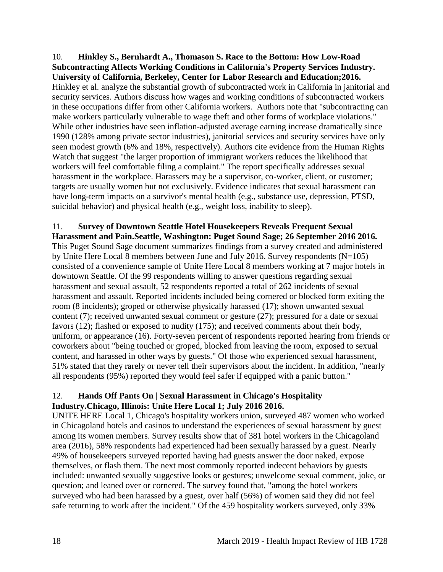<span id="page-20-0"></span>10. **Hinkley S., Bernhardt A., Thomason S. Race to the Bottom: How Low-Road Subcontracting Affects Working Conditions in California's Property Services Industry. University of California, Berkeley, Center for Labor Research and Education;2016.** Hinkley et al. analyze the substantial growth of subcontracted work in California in janitorial and security services. Authors discuss how wages and working conditions of subcontracted workers in these occupations differ from other California workers. Authors note that "subcontracting can make workers particularly vulnerable to wage theft and other forms of workplace violations." While other industries have seen inflation-adjusted average earning increase dramatically since 1990 (128% among private sector industries), janitorial services and security services have only seen modest growth (6% and 18%, respectively). Authors cite evidence from the Human Rights Watch that suggest "the larger proportion of immigrant workers reduces the likelihood that workers will feel comfortable filing a complaint." The report specifically addresses sexual harassment in the workplace. Harassers may be a supervisor, co-worker, client, or customer; targets are usually women but not exclusively. Evidence indicates that sexual harassment can have long-term impacts on a survivor's mental health (e.g., substance use, depression, PTSD, suicidal behavior) and physical health (e.g., weight loss, inability to sleep).

### <span id="page-20-1"></span>11. **Survey of Downtown Seattle Hotel Housekeepers Reveals Frequent Sexual**

**Harassment and Pain.Seattle, Washington: Puget Sound Sage; 26 September 2016 2016.** This Puget Sound Sage document summarizes findings from a survey created and administered by Unite Here Local 8 members between June and July 2016. Survey respondents (N=105) consisted of a convenience sample of Unite Here Local 8 members working at 7 major hotels in downtown Seattle. Of the 99 respondents willing to answer questions regarding sexual harassment and sexual assault, 52 respondents reported a total of 262 incidents of sexual harassment and assault. Reported incidents included being cornered or blocked form exiting the room (8 incidents); groped or otherwise physically harassed (17); shown unwanted sexual content (7); received unwanted sexual comment or gesture (27); pressured for a date or sexual favors (12); flashed or exposed to nudity (175); and received comments about their body, uniform, or appearance (16). Forty-seven percent of respondents reported hearing from friends or coworkers about "being touched or groped, blocked from leaving the room, exposed to sexual content, and harassed in other ways by guests." Of those who experienced sexual harassment, 51% stated that they rarely or never tell their supervisors about the incident. In addition, "nearly all respondents (95%) reported they would feel safer if equipped with a panic button."

### <span id="page-20-2"></span>12. **Hands Off Pants On | Sexual Harassment in Chicago's Hospitality Industry.Chicago, Illinois: Unite Here Local 1; July 2016 2016.**

UNITE HERE Local 1, Chicago's hospitality workers union, surveyed 487 women who worked in Chicagoland hotels and casinos to understand the experiences of sexual harassment by guest among its women members. Survey results show that of 381 hotel workers in the Chicagoland area (2016), 58% respondents had experienced had been sexually harassed by a guest. Nearly 49% of housekeepers surveyed reported having had guests answer the door naked, expose themselves, or flash them. The next most commonly reported indecent behaviors by guests included: unwanted sexually suggestive looks or gestures; unwelcome sexual comment, joke, or question; and leaned over or cornered. The survey found that, "among the hotel workers surveyed who had been harassed by a guest, over half (56%) of women said they did not feel safe returning to work after the incident." Of the 459 hospitality workers surveyed, only 33%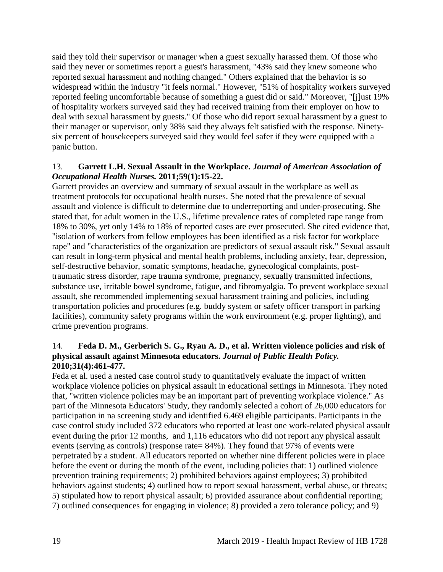said they told their supervisor or manager when a guest sexually harassed them. Of those who said they never or sometimes report a guest's harassment, "43% said they knew someone who reported sexual harassment and nothing changed." Others explained that the behavior is so widespread within the industry "it feels normal." However, "51% of hospitality workers surveyed reported feeling uncomfortable because of something a guest did or said." Moreover, "[j]ust 19% of hospitality workers surveyed said they had received training from their employer on how to deal with sexual harassment by guests." Of those who did report sexual harassment by a guest to their manager or supervisor, only 38% said they always felt satisfied with the response. Ninetysix percent of housekeepers surveyed said they would feel safer if they were equipped with a panic button.

### <span id="page-21-0"></span>13. **Garrett L.H. Sexual Assault in the Workplace.** *Journal of American Association of Occupational Health Nurses.* **2011;59(1):15-22.**

Garrett provides an overview and summary of sexual assault in the workplace as well as treatment protocols for occupational health nurses. She noted that the prevalence of sexual assault and violence is difficult to determine due to underreporting and under-prosecuting. She stated that, for adult women in the U.S., lifetime prevalence rates of completed rape range from 18% to 30%, yet only 14% to 18% of reported cases are ever prosecuted. She cited evidence that, "isolation of workers from fellow employees has been identified as a risk factor for workplace rape" and "characteristics of the organization are predictors of sexual assault risk." Sexual assault can result in long-term physical and mental health problems, including anxiety, fear, depression, self-destructive behavior, somatic symptoms, headache, gynecological complaints, posttraumatic stress disorder, rape trauma syndrome, pregnancy, sexually transmitted infections, substance use, irritable bowel syndrome, fatigue, and fibromyalgia. To prevent workplace sexual assault, she recommended implementing sexual harassment training and policies, including transportation policies and procedures (e.g. buddy system or safety officer transport in parking facilities), community safety programs within the work environment (e.g. proper lighting), and crime prevention programs.

#### 14. **Feda D. M., Gerberich S. G., Ryan A. D., et al. Written violence policies and risk of physical assault against Minnesota educators.** *Journal of Public Health Policy.*  **2010;31(4):461-477.**

Feda et al. used a nested case control study to quantitatively evaluate the impact of written workplace violence policies on physical assault in educational settings in Minnesota. They noted that, "written violence policies may be an important part of preventing workplace violence." As part of the Minnesota Educators' Study, they randomly selected a cohort of 26,000 educators for participation in na screening study and identified 6.469 eligible participants. Participants in the case control study included 372 educators who reported at least one work-related physical assault event during the prior 12 months, and 1,116 educators who did not report any physical assault events (serving as controls) (response rate= 84%). They found that 97% of events were perpetrated by a student. All educators reported on whether nine different policies were in place before the event or during the month of the event, including policies that: 1) outlined violence prevention training requirements; 2) prohibited behaviors against employees; 3) prohibited behaviors against students; 4) outlined how to report sexual harassment, verbal abuse, or threats; 5) stipulated how to report physical assault; 6) provided assurance about confidential reporting; 7) outlined consequences for engaging in violence; 8) provided a zero tolerance policy; and 9)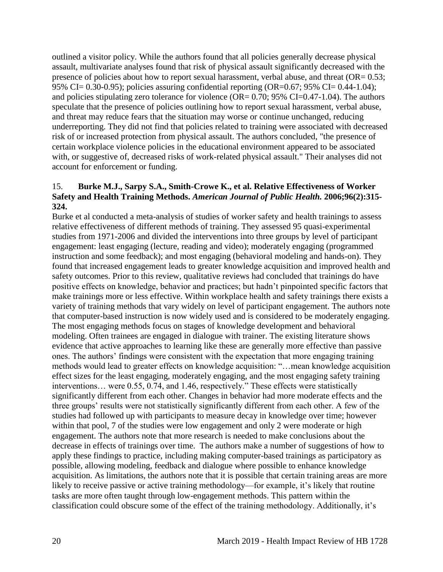outlined a visitor policy. While the authors found that all policies generally decrease physical assault, multivariate analyses found that risk of physical assault significantly decreased with the presence of policies about how to report sexual harassment, verbal abuse, and threat  $OR = 0.53$ ; 95% CI= 0.30-0.95); policies assuring confidential reporting (OR=0.67; 95% CI= 0.44-1.04); and policies stipulating zero tolerance for violence  $OR = 0.70$ ; 95% CI=0.47-1.04). The authors speculate that the presence of policies outlining how to report sexual harassment, verbal abuse, and threat may reduce fears that the situation may worse or continue unchanged, reducing underreporting. They did not find that policies related to training were associated with decreased risk of or increased protection from physical assault. The authors concluded, "the presence of certain workplace violence policies in the educational environment appeared to be associated with, or suggestive of, decreased risks of work-related physical assault." Their analyses did not account for enforcement or funding.

#### 15. **Burke M.J., Sarpy S.A., Smith-Crowe K., et al. Relative Effectiveness of Worker Safety and Health Training Methods.** *American Journal of Public Health.* **2006;96(2):315- 324.**

Burke et al conducted a meta-analysis of studies of worker safety and health trainings to assess relative effectiveness of different methods of training. They assessed 95 quasi-experimental studies from 1971-2006 and divided the interventions into three groups by level of participant engagement: least engaging (lecture, reading and video); moderately engaging (programmed instruction and some feedback); and most engaging (behavioral modeling and hands-on). They found that increased engagement leads to greater knowledge acquisition and improved health and safety outcomes. Prior to this review, qualitative reviews had concluded that trainings do have positive effects on knowledge, behavior and practices; but hadn't pinpointed specific factors that make trainings more or less effective. Within workplace health and safety trainings there exists a variety of training methods that vary widely on level of participant engagement. The authors note that computer-based instruction is now widely used and is considered to be moderately engaging. The most engaging methods focus on stages of knowledge development and behavioral modeling. Often trainees are engaged in dialogue with trainer. The existing literature shows evidence that active approaches to learning like these are generally more effective than passive ones. The authors' findings were consistent with the expectation that more engaging training methods would lead to greater effects on knowledge acquisition: "…mean knowledge acquisition effect sizes for the least engaging, moderately engaging, and the most engaging safety training interventions… were 0.55, 0.74, and 1.46, respectively." These effects were statistically significantly different from each other. Changes in behavior had more moderate effects and the three groups' results were not statistically significantly different from each other. A few of the studies had followed up with participants to measure decay in knowledge over time; however within that pool, 7 of the studies were low engagement and only 2 were moderate or high engagement. The authors note that more research is needed to make conclusions about the decrease in effects of trainings over time. The authors make a number of suggestions of how to apply these findings to practice, including making computer-based trainings as participatory as possible, allowing modeling, feedback and dialogue where possible to enhance knowledge acquisition. As limitations, the authors note that it is possible that certain training areas are more likely to receive passive or active training methodology—for example, it's likely that routine tasks are more often taught through low-engagement methods. This pattern within the classification could obscure some of the effect of the training methodology. Additionally, it's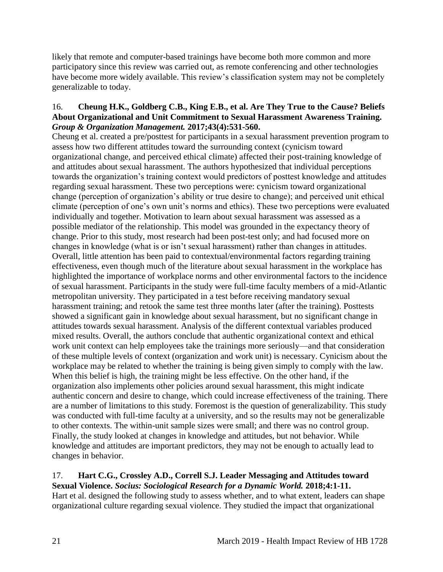likely that remote and computer-based trainings have become both more common and more participatory since this review was carried out, as remote conferencing and other technologies have become more widely available. This review's classification system may not be completely generalizable to today.

#### <span id="page-23-0"></span>16. **Cheung H.K., Goldberg C.B., King E.B., et al. Are They True to the Cause? Beliefs About Organizational and Unit Commitment to Sexual Harassment Awareness Training.**  *Group & Organization Management.* **2017;43(4):531-560.**

Cheung et al. created a pre/posttest for participants in a sexual harassment prevention program to assess how two different attitudes toward the surrounding context (cynicism toward organizational change, and perceived ethical climate) affected their post-training knowledge of and attitudes about sexual harassment. The authors hypothesized that individual perceptions towards the organization's training context would predictors of posttest knowledge and attitudes regarding sexual harassment. These two perceptions were: cynicism toward organizational change (perception of organization's ability or true desire to change); and perceived unit ethical climate (perception of one's own unit's norms and ethics). These two perceptions were evaluated individually and together. Motivation to learn about sexual harassment was assessed as a possible mediator of the relationship. This model was grounded in the expectancy theory of change. Prior to this study, most research had been post-test only; and had focused more on changes in knowledge (what is or isn't sexual harassment) rather than changes in attitudes. Overall, little attention has been paid to contextual/environmental factors regarding training effectiveness, even though much of the literature about sexual harassment in the workplace has highlighted the importance of workplace norms and other environmental factors to the incidence of sexual harassment. Participants in the study were full-time faculty members of a mid-Atlantic metropolitan university. They participated in a test before receiving mandatory sexual harassment training; and retook the same test three months later (after the training). Posttests showed a significant gain in knowledge about sexual harassment, but no significant change in attitudes towards sexual harassment. Analysis of the different contextual variables produced mixed results. Overall, the authors conclude that authentic organizational context and ethical work unit context can help employees take the trainings more seriously—and that consideration of these multiple levels of context (organization and work unit) is necessary. Cynicism about the workplace may be related to whether the training is being given simply to comply with the law. When this belief is high, the training might be less effective. On the other hand, if the organization also implements other policies around sexual harassment, this might indicate authentic concern and desire to change, which could increase effectiveness of the training. There are a number of limitations to this study. Foremost is the question of generalizability. This study was conducted with full-time faculty at a university, and so the results may not be generalizable to other contexts. The within-unit sample sizes were small; and there was no control group. Finally, the study looked at changes in knowledge and attitudes, but not behavior. While knowledge and attitudes are important predictors, they may not be enough to actually lead to changes in behavior.

# <span id="page-23-1"></span>17. **Hart C.G., Crossley A.D., Correll S.J. Leader Messaging and Attitudes toward**

**Sexual Violence.** *Socius: Sociological Research for a Dynamic World.* **2018;4:1-11.** Hart et al. designed the following study to assess whether, and to what extent, leaders can shape organizational culture regarding sexual violence. They studied the impact that organizational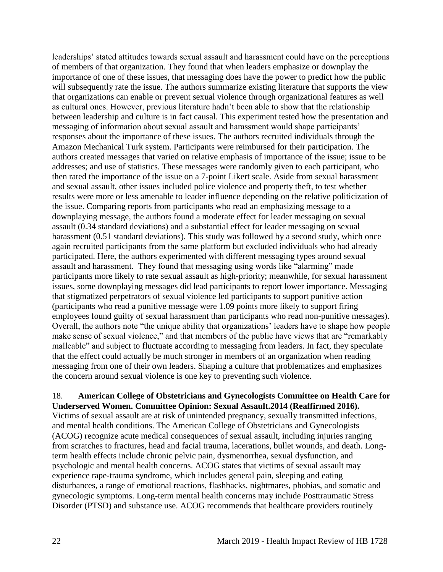leaderships' stated attitudes towards sexual assault and harassment could have on the perceptions of members of that organization. They found that when leaders emphasize or downplay the importance of one of these issues, that messaging does have the power to predict how the public will subsequently rate the issue. The authors summarize existing literature that supports the view that organizations can enable or prevent sexual violence through organizational features as well as cultural ones. However, previous literature hadn't been able to show that the relationship between leadership and culture is in fact causal. This experiment tested how the presentation and messaging of information about sexual assault and harassment would shape participants' responses about the importance of these issues. The authors recruited individuals through the Amazon Mechanical Turk system. Participants were reimbursed for their participation. The authors created messages that varied on relative emphasis of importance of the issue; issue to be addresses; and use of statistics. These messages were randomly given to each participant, who then rated the importance of the issue on a 7-point Likert scale. Aside from sexual harassment and sexual assault, other issues included police violence and property theft, to test whether results were more or less amenable to leader influence depending on the relative politicization of the issue. Comparing reports from participants who read an emphasizing message to a downplaying message, the authors found a moderate effect for leader messaging on sexual assault (0.34 standard deviations) and a substantial effect for leader messaging on sexual harassment (0.51 standard deviations). This study was followed by a second study, which once again recruited participants from the same platform but excluded individuals who had already participated. Here, the authors experimented with different messaging types around sexual assault and harassment. They found that messaging using words like "alarming" made participants more likely to rate sexual assault as high-priority; meanwhile, for sexual harassment issues, some downplaying messages did lead participants to report lower importance. Messaging that stigmatized perpetrators of sexual violence led participants to support punitive action (participants who read a punitive message were 1.09 points more likely to support firing employees found guilty of sexual harassment than participants who read non-punitive messages). Overall, the authors note "the unique ability that organizations' leaders have to shape how people make sense of sexual violence," and that members of the public have views that are "remarkably malleable" and subject to fluctuate according to messaging from leaders. In fact, they speculate that the effect could actually be much stronger in members of an organization when reading messaging from one of their own leaders. Shaping a culture that problematizes and emphasizes the concern around sexual violence is one key to preventing such violence.

### <span id="page-24-0"></span>18. **American College of Obstetricians and Gynecologists Committee on Health Care for Underserved Women. Committee Opinion: Sexual Assault.2014 (Reaffirmed 2016).**

Victims of sexual assault are at risk of unintended pregnancy, sexually transmitted infections, and mental health conditions. The American College of Obstetricians and Gynecologists (ACOG) recognize acute medical consequences of sexual assault, including injuries ranging from scratches to fractures, head and facial trauma, lacerations, bullet wounds, and death. Longterm health effects include chronic pelvic pain, dysmenorrhea, sexual dysfunction, and psychologic and mental health concerns. ACOG states that victims of sexual assault may experience rape-trauma syndrome, which includes general pain, sleeping and eating disturbances, a range of emotional reactions, flashbacks, nightmares, phobias, and somatic and gynecologic symptoms. Long-term mental health concerns may include Posttraumatic Stress Disorder (PTSD) and substance use. ACOG recommends that healthcare providers routinely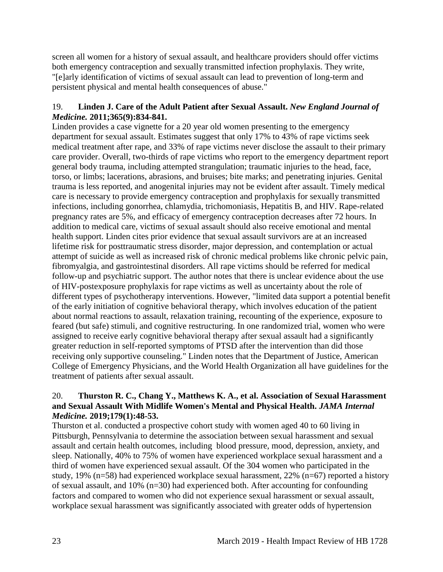screen all women for a history of sexual assault, and healthcare providers should offer victims both emergency contraception and sexually transmitted infection prophylaxis. They write, "[e]arly identification of victims of sexual assault can lead to prevention of long-term and persistent physical and mental health consequences of abuse."

# 19. **Linden J. Care of the Adult Patient after Sexual Assault.** *New England Journal of Medicine.* **2011;365(9):834-841.**

Linden provides a case vignette for a 20 year old women presenting to the emergency department for sexual assault. Estimates suggest that only 17% to 43% of rape victims seek medical treatment after rape, and 33% of rape victims never disclose the assault to their primary care provider. Overall, two-thirds of rape victims who report to the emergency department report general body trauma, including attempted strangulation; traumatic injuries to the head, face, torso, or limbs; lacerations, abrasions, and bruises; bite marks; and penetrating injuries. Genital trauma is less reported, and anogenital injuries may not be evident after assault. Timely medical care is necessary to provide emergency contraception and prophylaxis for sexually transmitted infections, including gonorrhea, chlamydia, trichomoniasis, Hepatitis B, and HIV. Rape-related pregnancy rates are 5%, and efficacy of emergency contraception decreases after 72 hours. In addition to medical care, victims of sexual assault should also receive emotional and mental health support. Linden cites prior evidence that sexual assault survivors are at an increased lifetime risk for posttraumatic stress disorder, major depression, and contemplation or actual attempt of suicide as well as increased risk of chronic medical problems like chronic pelvic pain, fibromyalgia, and gastrointestinal disorders. All rape victims should be referred for medical follow-up and psychiatric support. The author notes that there is unclear evidence about the use of HIV-postexposure prophylaxis for rape victims as well as uncertainty about the role of different types of psychotherapy interventions. However, "limited data support a potential benefit of the early initiation of cognitive behavioral therapy, which involves education of the patient about normal reactions to assault, relaxation training, recounting of the experience, exposure to feared (but safe) stimuli, and cognitive restructuring. In one randomized trial, women who were assigned to receive early cognitive behavioral therapy after sexual assault had a significantly greater reduction in self-reported symptoms of PTSD after the intervention than did those receiving only supportive counseling." Linden notes that the Department of Justice, American College of Emergency Physicians, and the World Health Organization all have guidelines for the treatment of patients after sexual assault.

### 20. **Thurston R. C., Chang Y., Matthews K. A., et al. Association of Sexual Harassment and Sexual Assault With Midlife Women's Mental and Physical Health.** *JAMA Internal Medicine.* **2019;179(1):48-53.**

Thurston et al. conducted a prospective cohort study with women aged 40 to 60 living in Pittsburgh, Pennsylvania to determine the association between sexual harassment and sexual assault and certain health outcomes, including blood pressure, mood, depression, anxiety, and sleep. Nationally, 40% to 75% of women have experienced workplace sexual harassment and a third of women have experienced sexual assault. Of the 304 women who participated in the study, 19% (n=58) had experienced workplace sexual harassment, 22% (n=67) reported a history of sexual assault, and 10% (n=30) had experienced both. After accounting for confounding factors and compared to women who did not experience sexual harassment or sexual assault, workplace sexual harassment was significantly associated with greater odds of hypertension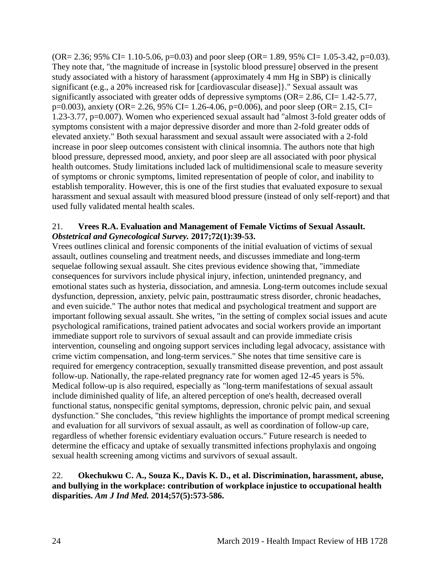$(OR = 2.36; 95\% CI = 1.10-5.06, p=0.03)$  and poor sleep  $(OR = 1.89, 95\% CI = 1.05-3.42, p=0.03)$ . They note that, "the magnitude of increase in [systolic blood pressure] observed in the present study associated with a history of harassment (approximately 4 mm Hg in SBP) is clinically significant (e.g., a 20% increased risk for [cardiovascular disease]}." Sexual assault was significantly associated with greater odds of depressive symptoms (OR= 2.86, CI= 1.42-5.77, p=0.003), anxiety (OR= 2.26, 95% CI= 1.26-4.06, p=0.006), and poor sleep (OR= 2.15, CI= 1.23-3.77, p=0.007). Women who experienced sexual assault had "almost 3-fold greater odds of symptoms consistent with a major depressive disorder and more than 2-fold greater odds of elevated anxiety." Both sexual harassment and sexual assault were associated with a 2-fold increase in poor sleep outcomes consistent with clinical insomnia. The authors note that high blood pressure, depressed mood, anxiety, and poor sleep are all associated with poor physical health outcomes. Study limitations included lack of multidimensional scale to measure severity of symptoms or chronic symptoms, limited representation of people of color, and inability to establish temporality. However, this is one of the first studies that evaluated exposure to sexual harassment and sexual assault with measured blood pressure (instead of only self-report) and that used fully validated mental health scales.

### 21. **Vrees R.A. Evaluation and Management of Female Victims of Sexual Assault.**  *Obstetrical and Gynecological Survey.* **2017;72(1):39-53.**

Vrees outlines clinical and forensic components of the initial evaluation of victims of sexual assault, outlines counseling and treatment needs, and discusses immediate and long-term sequelae following sexual assault. She cites previous evidence showing that, "immediate consequences for survivors include physical injury, infection, unintended pregnancy, and emotional states such as hysteria, dissociation, and amnesia. Long-term outcomes include sexual dysfunction, depression, anxiety, pelvic pain, posttraumatic stress disorder, chronic headaches, and even suicide." The author notes that medical and psychological treatment and support are important following sexual assault. She writes, "in the setting of complex social issues and acute psychological ramifications, trained patient advocates and social workers provide an important immediate support role to survivors of sexual assault and can provide immediate crisis intervention, counseling and ongoing support services including legal advocacy, assistance with crime victim compensation, and long-term services." She notes that time sensitive care is required for emergency contraception, sexually transmitted disease prevention, and post assault follow-up. Nationally, the rape-related pregnancy rate for women aged 12-45 years is 5%. Medical follow-up is also required, especially as "long-term manifestations of sexual assault include diminished quality of life, an altered perception of one's health, decreased overall functional status, nonspecific genital symptoms, depression, chronic pelvic pain, and sexual dysfunction." She concludes, "this review highlights the importance of prompt medical screening and evaluation for all survivors of sexual assault, as well as coordination of follow-up care, regardless of whether forensic evidentiary evaluation occurs." Future research is needed to determine the efficacy and uptake of sexually transmitted infections prophylaxis and ongoing sexual health screening among victims and survivors of sexual assault.

### <span id="page-26-0"></span>22. **Okechukwu C. A., Souza K., Davis K. D., et al. Discrimination, harassment, abuse, and bullying in the workplace: contribution of workplace injustice to occupational health disparities.** *Am J Ind Med.* **2014;57(5):573-586.**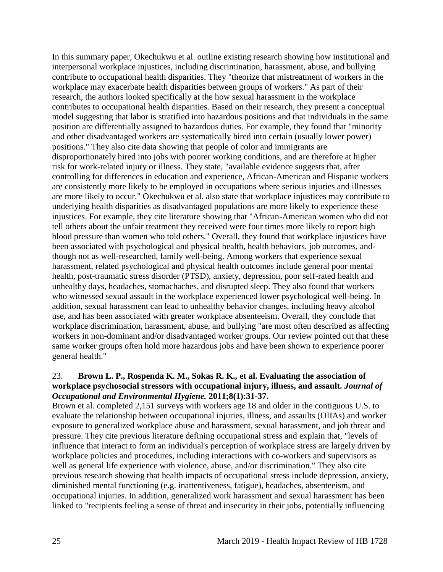In this summary paper, Okechukwu et al. outline existing research showing how institutional and interpersonal workplace injustices, including discrimination, harassment, abuse, and bullying contribute to occupational health disparities. They "theorize that mistreatment of workers in the workplace may exacerbate health disparities between groups of workers." As part of their research, the authors looked specifically at the how sexual harassment in the workplace contributes to occupational health disparities. Based on their research, they present a conceptual model suggesting that labor is stratified into hazardous positions and that individuals in the same position are differentially assigned to hazardous duties. For example, they found that "minority and other disadvantaged workers are systematically hired into certain (usually lower power) positions." They also cite data showing that people of color and immigrants are disproportionately hired into jobs with poorer working conditions, and are therefore at higher risk for work-related injury or illness. They state, "available evidence suggests that, after controlling for differences in education and experience, African-American and Hispanic workers are consistently more likely to be employed in occupations where serious injuries and illnesses are more likely to occur." Okechukwu et al. also state that workplace injustices may contribute to underlying health disparities as disadvantaged populations are more likely to experience these injustices. For example, they cite literature showing that "African-American women who did not tell others about the unfair treatment they received were four times more likely to report high blood pressure than women who told others." Overall, they found that workplace injustices have been associated with psychological and physical health, health behaviors, job outcomes, andthough not as well-researched, family well-being. Among workers that experience sexual harassment, related psychological and physical health outcomes include general poor mental health, post-traumatic stress disorder (PTSD), anxiety, depression, poor self-rated health and unhealthy days, headaches, stomachaches, and disrupted sleep. They also found that workers who witnessed sexual assault in the workplace experienced lower psychological well-being. In addition, sexual harassment can lead to unhealthy behavior changes, including heavy alcohol use, and has been associated with greater workplace absenteeism. Overall, they conclude that workplace discrimination, harassment, abuse, and bullying "are most often described as affecting workers in non-dominant and/or disadvantaged worker groups. Our review pointed out that these same worker groups often hold more hazardous jobs and have been shown to experience poorer general health."

#### 23. **Brown L. P., Rospenda K. M., Sokas R. K., et al. Evaluating the association of workplace psychosocial stressors with occupational injury, illness, and assault.** *Journal of Occupational and Environmental Hygiene.* **2011;8(1):31-37.**

Brown et al. completed 2,151 surveys with workers age 18 and older in the contiguous U.S. to evaluate the relationship between occupational injuries, illness, and assaults (OIIAs) and worker exposure to generalized workplace abuse and harassment, sexual harassment, and job threat and pressure. They cite previous literature defining occupational stress and explain that, "levels of influence that interact to form an individual's perception of workplace stress are largely driven by workplace policies and procedures, including interactions with co-workers and supervisors as well as general life experience with violence, abuse, and/or discrimination." They also cite previous research showing that health impacts of occupational stress include depression, anxiety, diminished mental functioning (e.g. inattentiveness, fatigue), headaches, absenteeism, and occupational injuries. In addition, generalized work harassment and sexual harassment has been linked to "recipients feeling a sense of threat and insecurity in their jobs, potentially influencing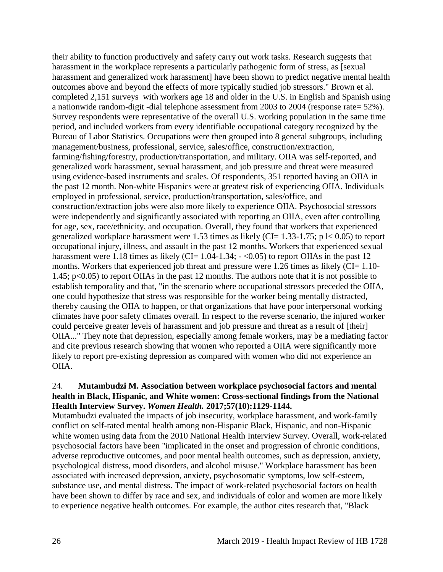their ability to function productively and safety carry out work tasks. Research suggests that harassment in the workplace represents a particularly pathogenic form of stress, as [sexual harassment and generalized work harassment] have been shown to predict negative mental health outcomes above and beyond the effects of more typically studied job stressors." Brown et al. completed 2,151 surveys with workers age 18 and older in the U.S. in English and Spanish using a nationwide random-digit -dial telephone assessment from 2003 to 2004 (response rate= 52%). Survey respondents were representative of the overall U.S. working population in the same time period, and included workers from every identifiable occupational category recognized by the Bureau of Labor Statistics. Occupations were then grouped into 8 general subgroups, including management/business, professional, service, sales/office, construction/extraction, farming/fishing/forestry, production/transportation, and military. OIIA was self-reported, and generalized work harassment, sexual harassment, and job pressure and threat were measured using evidence-based instruments and scales. Of respondents, 351 reported having an OIIA in the past 12 month. Non-white Hispanics were at greatest risk of experiencing OIIA. Individuals employed in professional, service, production/transportation, sales/office, and construction/extraction jobs were also more likely to experience OIIA. Psychosocial stressors were independently and significantly associated with reporting an OIIA, even after controlling for age, sex, race/ethnicity, and occupation. Overall, they found that workers that experienced generalized workplace harassment were 1.53 times as likely (CI= 1.33-1.75; p  $\vert$  < 0.05) to report occupational injury, illness, and assault in the past 12 months. Workers that experienced sexual harassment were 1.18 times as likely (CI=  $1.04$ -1.34;  $-$  <0.05) to report OIIAs in the past 12 months. Workers that experienced job threat and pressure were 1.26 times as likely (CI= 1.10-1.45; p<0.05) to report OIIAs in the past 12 months. The authors note that it is not possible to establish temporality and that, "in the scenario where occupational stressors preceded the OIIA, one could hypothesize that stress was responsible for the worker being mentally distracted, thereby causing the OIIA to happen, or that organizations that have poor interpersonal working climates have poor safety climates overall. In respect to the reverse scenario, the injured worker could perceive greater levels of harassment and job pressure and threat as a result of [their] OIIA..." They note that depression, especially among female workers, may be a mediating factor and cite previous research showing that women who reported a OIIA were significantly more likely to report pre-existing depression as compared with women who did not experience an OIIA.

#### <span id="page-28-0"></span>24. **Mutambudzi M. Association between workplace psychosocial factors and mental health in Black, Hispanic, and White women: Cross-sectional findings from the National Health Interview Survey.** *Women Health.* **2017;57(10):1129-1144.**

Mutambudzi evaluated the impacts of job insecurity, workplace harassment, and work-family conflict on self-rated mental health among non-Hispanic Black, Hispanic, and non-Hispanic white women using data from the 2010 National Health Interview Survey. Overall, work-related psychosocial factors have been "implicated in the onset and progression of chronic conditions, adverse reproductive outcomes, and poor mental health outcomes, such as depression, anxiety, psychological distress, mood disorders, and alcohol misuse." Workplace harassment has been associated with increased depression, anxiety, psychosomatic symptoms, low self-esteem, substance use, and mental distress. The impact of work-related psychosocial factors on health have been shown to differ by race and sex, and individuals of color and women are more likely to experience negative health outcomes. For example, the author cites research that, "Black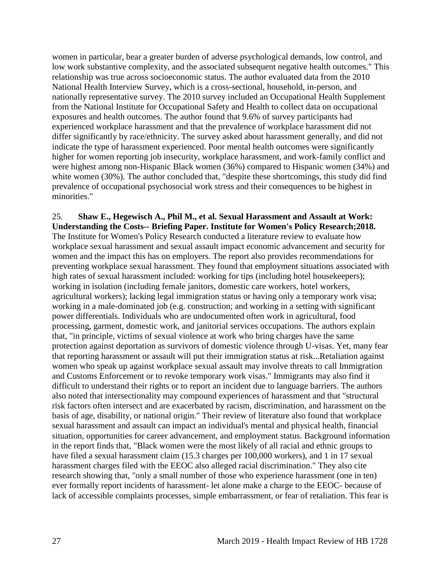women in particular, bear a greater burden of adverse psychological demands, low control, and low work substantive complexity, and the associated subsequent negative health outcomes." This relationship was true across socioeconomic status. The author evaluated data from the 2010 National Health Interview Survey, which is a cross-sectional, household, in-person, and nationally representative survey. The 2010 survey included an Occupational Health Supplement from the National Institute for Occupational Safety and Health to collect data on occupational exposures and health outcomes. The author found that 9.6% of survey participants had experienced workplace harassment and that the prevalence of workplace harassment did not differ significantly by race/ethnicity. The survey asked about harassment generally, and did not indicate the type of harassment experienced. Poor mental health outcomes were significantly higher for women reporting job insecurity, workplace harassment, and work-family conflict and were highest among non-Hispanic Black women (36%) compared to Hispanic women (34%) and white women (30%). The author concluded that, "despite these shortcomings, this study did find prevalence of occupational psychosocial work stress and their consequences to be highest in minorities."

<span id="page-29-0"></span>25. **Shaw E., Hegewisch A., Phil M., et al. Sexual Harassment and Assault at Work: Understanding the Costs-- Briefing Paper. Institute for Women's Policy Research;2018.** The Institute for Women's Policy Research conducted a literature review to evaluate how workplace sexual harassment and sexual assault impact economic advancement and security for women and the impact this has on employers. The report also provides recommendations for preventing workplace sexual harassment. They found that employment situations associated with high rates of sexual harassment included: working for tips (including hotel housekeepers); working in isolation (including female janitors, domestic care workers, hotel workers, agricultural workers); lacking legal immigration status or having only a temporary work visa; working in a male-dominated job (e.g. construction; and working in a setting with significant power differentials. Individuals who are undocumented often work in agricultural, food processing, garment, domestic work, and janitorial services occupations. The authors explain that, "in principle, victims of sexual violence at work who bring charges have the same protection against deportation as survivors of domestic violence through U-visas. Yet, many fear that reporting harassment or assault will put their immigration status at risk...Retaliation against women who speak up against workplace sexual assault may involve threats to call Immigration and Customs Enforcement or to revoke temporary work visas." Immigrants may also find it difficult to understand their rights or to report an incident due to language barriers. The authors also noted that intersectionality may compound experiences of harassment and that "structural risk factors often intersect and are exacerbated by racism, discrimination, and harassment on the basis of age, disability, or national origin." Their review of literature also found that workplace sexual harassment and assault can impact an individual's mental and physical health, financial situation, opportunities for career advancement, and employment status. Background information in the report finds that, "Black women were the most likely of all racial and ethnic groups to have filed a sexual harassment claim (15.3 charges per 100,000 workers), and 1 in 17 sexual harassment charges filed with the EEOC also alleged racial discrimination." They also cite research showing that, "only a small number of those who experience harassment (one in ten) ever formally report incidents of harassment- let alone make a charge to the EEOC- because of lack of accessible complaints processes, simple embarrassment, or fear of retaliation. This fear is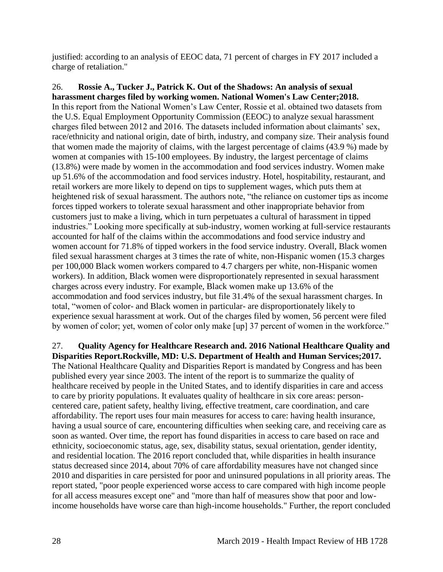justified: according to an analysis of EEOC data, 71 percent of charges in FY 2017 included a charge of retaliation."

<span id="page-30-0"></span>26. **Rossie A., Tucker J., Patrick K. Out of the Shadows: An analysis of sexual harassment charges filed by working women. National Women's Law Center;2018.** In this report from the National Women's Law Center, Rossie et al. obtained two datasets from the U.S. Equal Employment Opportunity Commission (EEOC) to analyze sexual harassment charges filed between 2012 and 2016. The datasets included information about claimants' sex, race/ethnicity and national origin, date of birth, industry, and company size. Their analysis found that women made the majority of claims, with the largest percentage of claims (43.9 %) made by women at companies with 15-100 employees. By industry, the largest percentage of claims (13.8%) were made by women in the accommodation and food services industry. Women make up 51.6% of the accommodation and food services industry. Hotel, hospitability, restaurant, and retail workers are more likely to depend on tips to supplement wages, which puts them at heightened risk of sexual harassment. The authors note, "the reliance on customer tips as income forces tipped workers to tolerate sexual harassment and other inappropriate behavior from customers just to make a living, which in turn perpetuates a cultural of harassment in tipped industries." Looking more specifically at sub-industry, women working at full-service restaurants accounted for half of the claims within the accommodations and food service industry and women account for 71.8% of tipped workers in the food service industry. Overall, Black women filed sexual harassment charges at 3 times the rate of white, non-Hispanic women (15.3 charges per 100,000 Black women workers compared to 4.7 chargers per white, non-Hispanic women workers). In addition, Black women were disproportionately represented in sexual harassment charges across every industry. For example, Black women make up 13.6% of the accommodation and food services industry, but file 31.4% of the sexual harassment charges. In total, "women of color- and Black women in particular- are disproportionately likely to experience sexual harassment at work. Out of the charges filed by women, 56 percent were filed by women of color; yet, women of color only make [up] 37 percent of women in the workforce."

27. **Quality Agency for Healthcare Research and. 2016 National Healthcare Quality and Disparities Report.Rockville, MD: U.S. Department of Health and Human Services;2017.** The National Healthcare Quality and Disparities Report is mandated by Congress and has been published every year since 2003. The intent of the report is to summarize the quality of healthcare received by people in the United States, and to identify disparities in care and access to care by priority populations. It evaluates quality of healthcare in six core areas: personcentered care, patient safety, healthy living, effective treatment, care coordination, and care affordability. The report uses four main measures for access to care: having health insurance, having a usual source of care, encountering difficulties when seeking care, and receiving care as soon as wanted. Over time, the report has found disparities in access to care based on race and ethnicity, socioeconomic status, age, sex, disability status, sexual orientation, gender identity, and residential location. The 2016 report concluded that, while disparities in health insurance status decreased since 2014, about 70% of care affordability measures have not changed since 2010 and disparities in care persisted for poor and uninsured populations in all priority areas. The report stated, "poor people experienced worse access to care compared with high income people for all access measures except one" and "more than half of measures show that poor and lowincome households have worse care than high-income households." Further, the report concluded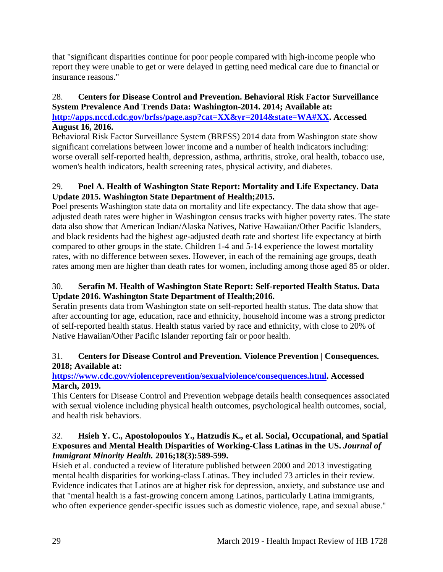that "significant disparities continue for poor people compared with high-income people who report they were unable to get or were delayed in getting need medical care due to financial or insurance reasons."

# 28. **Centers for Disease Control and Prevention. Behavioral Risk Factor Surveillance System Prevalence And Trends Data: Washington-2014. 2014; Available at:**

**[http://apps.nccd.cdc.gov/brfss/page.asp?cat=XX&yr=2014&state=WA#XX.](http://apps.nccd.cdc.gov/brfss/page.asp?cat=XX&yr=2014&state=WA#XX) Accessed August 16, 2016.**

Behavioral Risk Factor Surveillance System (BRFSS) 2014 data from Washington state show significant correlations between lower income and a number of health indicators including: worse overall self-reported health, depression, asthma, arthritis, stroke, oral health, tobacco use, women's health indicators, health screening rates, physical activity, and diabetes.

# <span id="page-31-1"></span>29. **Poel A. Health of Washington State Report: Mortality and Life Expectancy. Data Update 2015. Washington State Department of Health;2015.**

Poel presents Washington state data on mortality and life expectancy. The data show that ageadjusted death rates were higher in Washington census tracks with higher poverty rates. The state data also show that American Indian/Alaska Natives, Native Hawaiian/Other Pacific Islanders, and black residents had the highest age-adjusted death rate and shortest life expectancy at birth compared to other groups in the state. Children 1-4 and 5-14 experience the lowest mortality rates, with no difference between sexes. However, in each of the remaining age groups, death rates among men are higher than death rates for women, including among those aged 85 or older.

# 30. **Serafin M. Health of Washington State Report: Self-reported Health Status. Data Update 2016. Washington State Department of Health;2016.**

Serafin presents data from Washington state on self-reported health status. The data show that after accounting for age, education, race and ethnicity, household income was a strong predictor of self-reported health status. Health status varied by race and ethnicity, with close to 20% of Native Hawaiian/Other Pacific Islander reporting fair or poor health.

# <span id="page-31-0"></span>31. **Centers for Disease Control and Prevention. Violence Prevention | Consequences. 2018; Available at:**

# **[https://www.cdc.gov/violenceprevention/sexualviolence/consequences.html.](https://www.cdc.gov/violenceprevention/sexualviolence/consequences.html) Accessed March, 2019.**

This Centers for Disease Control and Prevention webpage details health consequences associated with sexual violence including physical health outcomes, psychological health outcomes, social, and health risk behaviors.

# <span id="page-31-2"></span>32. **Hsieh Y. C., Apostolopoulos Y., Hatzudis K., et al. Social, Occupational, and Spatial Exposures and Mental Health Disparities of Working-Class Latinas in the US.** *Journal of Immigrant Minority Health.* **2016;18(3):589-599.**

Hsieh et al. conducted a review of literature published between 2000 and 2013 investigating mental health disparities for working-class Latinas. They included 73 articles in their review. Evidence indicates that Latinos are at higher risk for depression, anxiety, and substance use and that "mental health is a fast-growing concern among Latinos, particularly Latina immigrants, who often experience gender-specific issues such as domestic violence, rape, and sexual abuse."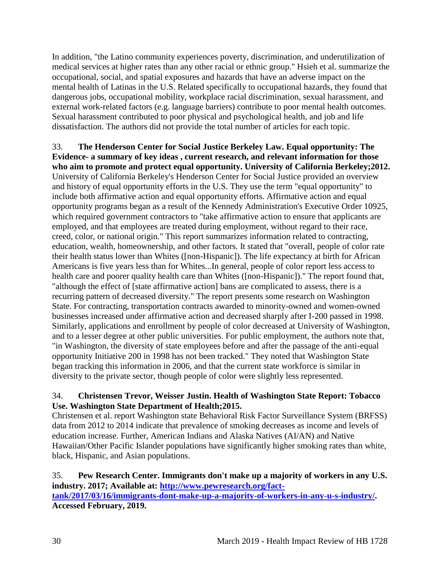In addition, "the Latino community experiences poverty, discrimination, and underutilization of medical services at higher rates than any other racial or ethnic group." Hsieh et al. summarize the occupational, social, and spatial exposures and hazards that have an adverse impact on the mental health of Latinas in the U.S. Related specifically to occupational hazards, they found that dangerous jobs, occupational mobility, workplace racial discrimination, sexual harassment, and external work-related factors (e.g. language barriers) contribute to poor mental health outcomes. Sexual harassment contributed to poor physical and psychological health, and job and life dissatisfaction. The authors did not provide the total number of articles for each topic.

33. **The Henderson Center for Social Justice Berkeley Law. Equal opportunity: The Evidence- a summary of key ideas , current research, and relevant information for those who aim to promote and protect equal opportunity. University of California Berkeley;2012.** University of California Berkeley's Henderson Center for Social Justice provided an overview and history of equal opportunity efforts in the U.S. They use the term "equal opportunity" to include both affirmative action and equal opportunity efforts. Affirmative action and equal opportunity programs began as a result of the Kennedy Administration's Executive Order 10925, which required government contractors to "take affirmative action to ensure that applicants are employed, and that employees are treated during employment, without regard to their race, creed, color, or national origin." This report summarizes information related to contracting, education, wealth, homeownership, and other factors. It stated that "overall, people of color rate their health status lower than Whites ([non-Hispanic]). The life expectancy at birth for African Americans is five years less than for Whites...In general, people of color report less access to health care and poorer quality health care than Whites ([non-Hispanic])." The report found that, "although the effect of [state affirmative action] bans are complicated to assess, there is a recurring pattern of decreased diversity." The report presents some research on Washington State. For contracting, transportation contracts awarded to minority-owned and women-owned businesses increased under affirmative action and decreased sharply after I-200 passed in 1998. Similarly, applications and enrollment by people of color decreased at University of Washington, and to a lesser degree at other public universities. For public employment, the authors note that, "in Washington, the diversity of state employees before and after the passage of the anti-equal opportunity Initiative 200 in 1998 has not been tracked." They noted that Washington State began tracking this information in 2006, and that the current state workforce is similar in diversity to the private sector, though people of color were slightly less represented.

### <span id="page-32-1"></span>34. **Christensen Trevor, Weisser Justin. Health of Washington State Report: Tobacco Use. Washington State Department of Health;2015.**

Christensen et al. report Washington state Behavioral Risk Factor Surveillance System (BRFSS) data from 2012 to 2014 indicate that prevalence of smoking decreases as income and levels of education increase. Further, American Indians and Alaska Natives (AI/AN) and Native Hawaiian/Other Pacific Islander populations have significantly higher smoking rates than white, black, Hispanic, and Asian populations.

#### <span id="page-32-0"></span>35. **Pew Research Center. Immigrants don't make up a majority of workers in any U.S. industry. 2017; Available at: [http://www.pewresearch.org/fact](http://www.pewresearch.org/fact-tank/2017/03/16/immigrants-dont-make-up-a-majority-of-workers-in-any-u-s-industry/)[tank/2017/03/16/immigrants-dont-make-up-a-majority-of-workers-in-any-u-s-industry/.](http://www.pewresearch.org/fact-tank/2017/03/16/immigrants-dont-make-up-a-majority-of-workers-in-any-u-s-industry/) Accessed February, 2019.**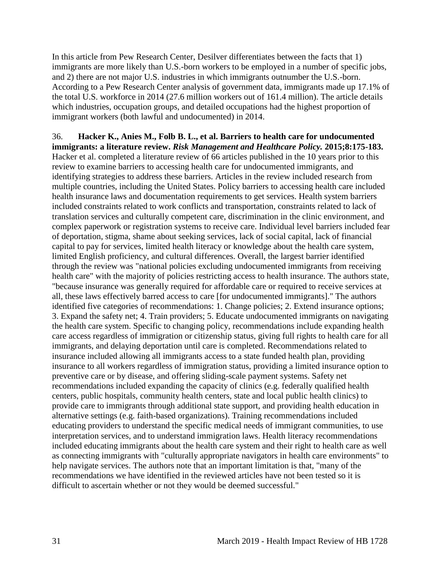In this article from Pew Research Center, Desilver differentiates between the facts that 1) immigrants are more likely than U.S.-born workers to be employed in a number of specific jobs, and 2) there are not major U.S. industries in which immigrants outnumber the U.S.-born. According to a Pew Research Center analysis of government data, immigrants made up 17.1% of the total U.S. workforce in 2014 (27.6 million workers out of 161.4 million). The article details which industries, occupation groups, and detailed occupations had the highest proportion of immigrant workers (both lawful and undocumented) in 2014.

36. **Hacker K., Anies M., Folb B. L., et al. Barriers to health care for undocumented immigrants: a literature review.** *Risk Management and Healthcare Policy.* **2015;8:175-183.** Hacker et al. completed a literature review of 66 articles published in the 10 years prior to this review to examine barriers to accessing health care for undocumented immigrants, and identifying strategies to address these barriers. Articles in the review included research from multiple countries, including the United States. Policy barriers to accessing health care included health insurance laws and documentation requirements to get services. Health system barriers included constraints related to work conflicts and transportation, constraints related to lack of translation services and culturally competent care, discrimination in the clinic environment, and complex paperwork or registration systems to receive care. Individual level barriers included fear of deportation, stigma, shame about seeking services, lack of social capital, lack of financial capital to pay for services, limited health literacy or knowledge about the health care system, limited English proficiency, and cultural differences. Overall, the largest barrier identified through the review was "national policies excluding undocumented immigrants from receiving health care" with the majority of policies restricting access to health insurance. The authors state, "because insurance was generally required for affordable care or required to receive services at all, these laws effectively barred access to care [for undocumented immigrants]." The authors identified five categories of recommendations: 1. Change policies; 2. Extend insurance options; 3. Expand the safety net; 4. Train providers; 5. Educate undocumented immigrants on navigating the health care system. Specific to changing policy, recommendations include expanding health care access regardless of immigration or citizenship status, giving full rights to health care for all immigrants, and delaying deportation until care is completed. Recommendations related to insurance included allowing all immigrants access to a state funded health plan, providing insurance to all workers regardless of immigration status, providing a limited insurance option to preventive care or by disease, and offering sliding-scale payment systems. Safety net recommendations included expanding the capacity of clinics (e.g. federally qualified health centers, public hospitals, community health centers, state and local public health clinics) to provide care to immigrants through additional state support, and providing health education in alternative settings (e.g. faith-based organizations). Training recommendations included educating providers to understand the specific medical needs of immigrant communities, to use interpretation services, and to understand immigration laws. Health literacy recommendations included educating immigrants about the health care system and their right to health care as well as connecting immigrants with "culturally appropriate navigators in health care environments" to help navigate services. The authors note that an important limitation is that, "many of the recommendations we have identified in the reviewed articles have not been tested so it is difficult to ascertain whether or not they would be deemed successful."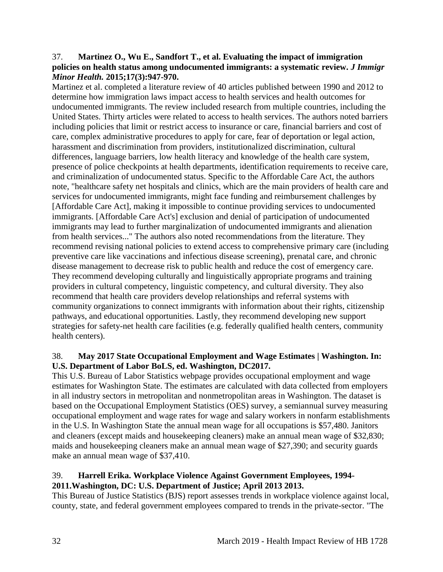#### 37. **Martinez O., Wu E., Sandfort T., et al. Evaluating the impact of immigration policies on health status among undocumented immigrants: a systematic review.** *J Immigr Minor Health.* **2015;17(3):947-970.**

Martinez et al. completed a literature review of 40 articles published between 1990 and 2012 to determine how immigration laws impact access to health services and health outcomes for undocumented immigrants. The review included research from multiple countries, including the United States. Thirty articles were related to access to health services. The authors noted barriers including policies that limit or restrict access to insurance or care, financial barriers and cost of care, complex administrative procedures to apply for care, fear of deportation or legal action, harassment and discrimination from providers, institutionalized discrimination, cultural differences, language barriers, low health literacy and knowledge of the health care system, presence of police checkpoints at health departments, identification requirements to receive care, and criminalization of undocumented status. Specific to the Affordable Care Act, the authors note, "healthcare safety net hospitals and clinics, which are the main providers of health care and services for undocumented immigrants, might face funding and reimbursement challenges by [Affordable Care Act], making it impossible to continue providing services to undocumented immigrants. [Affordable Care Act's] exclusion and denial of participation of undocumented immigrants may lead to further marginalization of undocumented immigrants and alienation from health services..." The authors also noted recommendations from the literature. They recommend revising national policies to extend access to comprehensive primary care (including preventive care like vaccinations and infectious disease screening), prenatal care, and chronic disease management to decrease risk to public health and reduce the cost of emergency care. They recommend developing culturally and linguistically appropriate programs and training providers in cultural competency, linguistic competency, and cultural diversity. They also recommend that health care providers develop relationships and referral systems with community organizations to connect immigrants with information about their rights, citizenship pathways, and educational opportunities. Lastly, they recommend developing new support strategies for safety-net health care facilities (e.g. federally qualified health centers, community health centers).

### 38. **May 2017 State Occupational Employment and Wage Estimates | Washington. In: U.S. Department of Labor BoLS, ed. Washington, DC2017.**

This U.S. Bureau of Labor Statistics webpage provides occupational employment and wage estimates for Washington State. The estimates are calculated with data collected from employers in all industry sectors in metropolitan and nonmetropolitan areas in Washington. The dataset is based on the Occupational Employment Statistics (OES) survey, a semiannual survey measuring occupational employment and wage rates for wage and salary workers in nonfarm establishments in the U.S. In Washington State the annual mean wage for all occupations is \$57,480. Janitors and cleaners (except maids and housekeeping cleaners) make an annual mean wage of \$32,830; maids and housekeeping cleaners make an annual mean wage of \$27,390; and security guards make an annual mean wage of \$37,410.

#### 39. **Harrell Erika. Workplace Violence Against Government Employees, 1994- 2011.Washington, DC: U.S. Department of Justice; April 2013 2013.**

This Bureau of Justice Statistics (BJS) report assesses trends in workplace violence against local, county, state, and federal government employees compared to trends in the private-sector. "The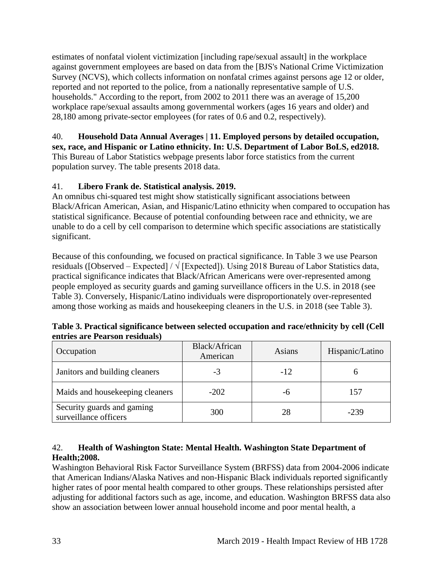estimates of nonfatal violent victimization [including rape/sexual assault] in the workplace against government employees are based on data from the [BJS's National Crime Victimization Survey (NCVS), which collects information on nonfatal crimes against persons age 12 or older, reported and not reported to the police, from a nationally representative sample of U.S. households." According to the report, from 2002 to 2011 there was an average of 15,200 workplace rape/sexual assaults among governmental workers (ages 16 years and older) and 28,180 among private-sector employees (for rates of 0.6 and 0.2, respectively).

40. **Household Data Annual Averages | 11. Employed persons by detailed occupation, sex, race, and Hispanic or Latino ethnicity. In: U.S. Department of Labor BoLS, ed2018.** This Bureau of Labor Statistics webpage presents labor force statistics from the current population survey. The table presents 2018 data.

# 41. **Libero Frank de. Statistical analysis. 2019.**

An omnibus chi-squared test might show statistically significant associations between Black/African American, Asian, and Hispanic/Latino ethnicity when compared to occupation has statistical significance. Because of potential confounding between race and ethnicity, we are unable to do a cell by cell comparison to determine which specific associations are statistically significant.

Because of this confounding, we focused on practical significance. In Table 3 we use Pearson residuals ([Observed – Expected] /  $\sqrt{\text{[Expected]}}$ . Using 2018 Bureau of Labor Statistics data, practical significance indicates that Black/African Americans were over-represented among people employed as security guards and gaming surveillance officers in the U.S. in 2018 (see Table 3). Conversely, Hispanic/Latino individuals were disproportionately over-represented among those working as maids and housekeeping cleaners in the U.S. in 2018 (see Table 3).

| Occupation                                          | Black/African<br>American | Asians | Hispanic/Latino |
|-----------------------------------------------------|---------------------------|--------|-----------------|
| Janitors and building cleaners                      | -3                        | $-12$  |                 |
| Maids and housekeeping cleaners                     | $-202$                    | -6     | 157             |
| Security guards and gaming<br>surveillance officers | 300                       | 28     | $-239$          |

**Table 3. Practical significance between selected occupation and race/ethnicity by cell (Cell entries are Pearson residuals)**

# <span id="page-35-0"></span>42. **Health of Washington State: Mental Health. Washington State Department of Health;2008.**

Washington Behavioral Risk Factor Surveillance System (BRFSS) data from 2004-2006 indicate that American Indians/Alaska Natives and non-Hispanic Black individuals reported significantly higher rates of poor mental health compared to other groups. These relationships persisted after adjusting for additional factors such as age, income, and education. Washington BRFSS data also show an association between lower annual household income and poor mental health, a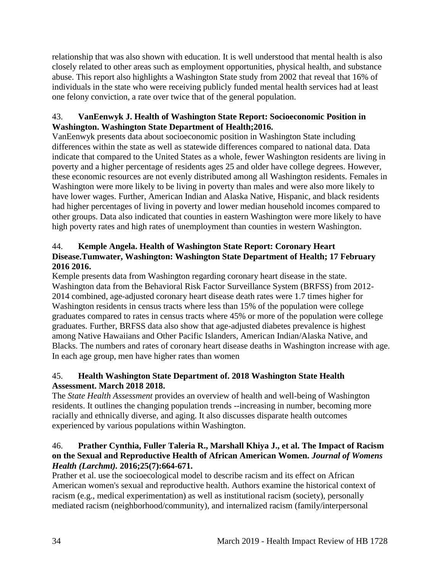relationship that was also shown with education. It is well understood that mental health is also closely related to other areas such as employment opportunities, physical health, and substance abuse. This report also highlights a Washington State study from 2002 that reveal that 16% of individuals in the state who were receiving publicly funded mental health services had at least one felony conviction, a rate over twice that of the general population.

# <span id="page-36-0"></span>43. **VanEenwyk J. Health of Washington State Report: Socioeconomic Position in Washington. Washington State Department of Health;2016.**

VanEenwyk presents data about socioeconomic position in Washington State including differences within the state as well as statewide differences compared to national data. Data indicate that compared to the United States as a whole, fewer Washington residents are living in poverty and a higher percentage of residents ages 25 and older have college degrees. However, these economic resources are not evenly distributed among all Washington residents. Females in Washington were more likely to be living in poverty than males and were also more likely to have lower wages. Further, American Indian and Alaska Native, Hispanic, and black residents had higher percentages of living in poverty and lower median household incomes compared to other groups. Data also indicated that counties in eastern Washington were more likely to have high poverty rates and high rates of unemployment than counties in western Washington.

# <span id="page-36-1"></span>44. **Kemple Angela. Health of Washington State Report: Coronary Heart Disease.Tumwater, Washington: Washington State Department of Health; 17 February 2016 2016.**

Kemple presents data from Washington regarding coronary heart disease in the state. Washington data from the Behavioral Risk Factor Surveillance System (BRFSS) from 2012- 2014 combined, age-adjusted coronary heart disease death rates were 1.7 times higher for Washington residents in census tracts where less than 15% of the population were college graduates compared to rates in census tracts where 45% or more of the population were college graduates. Further, BRFSS data also show that age-adjusted diabetes prevalence is highest among Native Hawaiians and Other Pacific Islanders, American Indian/Alaska Native, and Blacks. The numbers and rates of coronary heart disease deaths in Washington increase with age. In each age group, men have higher rates than women

# 45. **Health Washington State Department of. 2018 Washington State Health Assessment. March 2018 2018.**

The *State Health Assessment* provides an overview of health and well-being of Washington residents. It outlines the changing population trends --increasing in number, becoming more racially and ethnically diverse, and aging. It also discusses disparate health outcomes experienced by various populations within Washington.

# 46. **Prather Cynthia, Fuller Taleria R., Marshall Khiya J., et al. The Impact of Racism on the Sexual and Reproductive Health of African American Women.** *Journal of Womens Health (Larchmt).* **2016;25(7):664-671.**

Prather et al. use the socioecological model to describe racism and its effect on African American women's sexual and reproductive health. Authors examine the historical context of racism (e.g., medical experimentation) as well as institutional racism (society), personally mediated racism (neighborhood/community), and internalized racism (family/interpersonal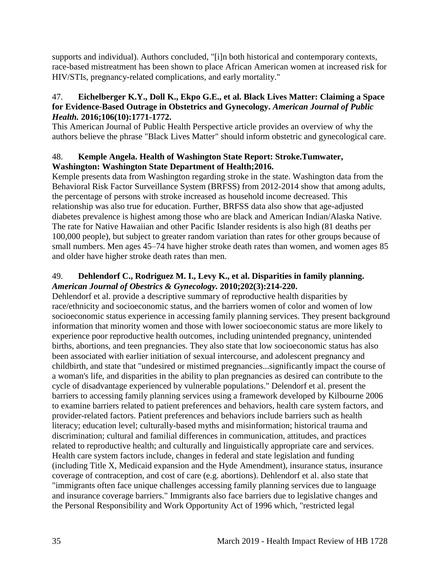supports and individual). Authors concluded, "[i]n both historical and contemporary contexts, race-based mistreatment has been shown to place African American women at increased risk for HIV/STIs, pregnancy-related complications, and early mortality."

# 47. **Eichelberger K.Y., Doll K., Ekpo G.E., et al. Black Lives Matter: Claiming a Space for Evidence-Based Outrage in Obstetrics and Gynecology.** *American Journal of Public Health.* **2016;106(10):1771-1772.**

This American Journal of Public Health Perspective article provides an overview of why the authors believe the phrase "Black Lives Matter" should inform obstetric and gynecological care.

# 48. **Kemple Angela. Health of Washington State Report: Stroke.Tumwater, Washington: Washington State Department of Health;2016.**

Kemple presents data from Washington regarding stroke in the state. Washington data from the Behavioral Risk Factor Surveillance System (BRFSS) from 2012-2014 show that among adults, the percentage of persons with stroke increased as household income decreased. This relationship was also true for education. Further, BRFSS data also show that age-adjusted diabetes prevalence is highest among those who are black and American Indian/Alaska Native. The rate for Native Hawaiian and other Pacific Islander residents is also high (81 deaths per 100,000 people), but subject to greater random variation than rates for other groups because of small numbers. Men ages 45–74 have higher stroke death rates than women, and women ages 85 and older have higher stroke death rates than men.

# 49. **Dehlendorf C., Rodriguez M. I., Levy K., et al. Disparities in family planning.**  *American Journal of Obestrics & Gynecology.* **2010;202(3):214-220.**

Dehlendorf et al. provide a descriptive summary of reproductive health disparities by race/ethnicity and socioeconomic status, and the barriers women of color and women of low socioeconomic status experience in accessing family planning services. They present background information that minority women and those with lower socioeconomic status are more likely to experience poor reproductive health outcomes, including unintended pregnancy, unintended births, abortions, and teen pregnancies. They also state that low socioeconomic status has also been associated with earlier initiation of sexual intercourse, and adolescent pregnancy and childbirth, and state that "undesired or mistimed pregnancies...significantly impact the course of a woman's life, and disparities in the ability to plan pregnancies as desired can contribute to the cycle of disadvantage experienced by vulnerable populations." Delendorf et al. present the barriers to accessing family planning services using a framework developed by Kilbourne 2006 to examine barriers related to patient preferences and behaviors, health care system factors, and provider-related factors. Patient preferences and behaviors include barriers such as health literacy; education level; culturally-based myths and misinformation; historical trauma and discrimination; cultural and familial differences in communication, attitudes, and practices related to reproductive health; and culturally and linguistically appropriate care and services. Health care system factors include, changes in federal and state legislation and funding (including Title X, Medicaid expansion and the Hyde Amendment), insurance status, insurance coverage of contraception, and cost of care (e.g. abortions). Dehlendorf et al. also state that "immigrants often face unique challenges accessing family planning services due to language and insurance coverage barriers." Immigrants also face barriers due to legislative changes and the Personal Responsibility and Work Opportunity Act of 1996 which, "restricted legal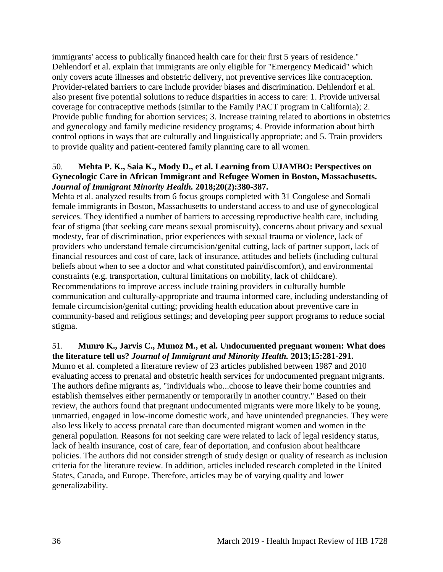immigrants' access to publically financed health care for their first 5 years of residence." Dehlendorf et al. explain that immigrants are only eligible for "Emergency Medicaid" which only covers acute illnesses and obstetric delivery, not preventive services like contraception. Provider-related barriers to care include provider biases and discrimination. Dehlendorf et al. also present five potential solutions to reduce disparities in access to care: 1. Provide universal coverage for contraceptive methods (similar to the Family PACT program in California); 2. Provide public funding for abortion services; 3. Increase training related to abortions in obstetrics and gynecology and family medicine residency programs; 4. Provide information about birth control options in ways that are culturally and linguistically appropriate; and 5. Train providers to provide quality and patient-centered family planning care to all women.

# 50. **Mehta P. K., Saia K., Mody D., et al. Learning from UJAMBO: Perspectives on Gynecologic Care in African Immigrant and Refugee Women in Boston, Massachusetts.**  *Journal of Immigrant Minority Health.* **2018;20(2):380-387.**

Mehta et al. analyzed results from 6 focus groups completed with 31 Congolese and Somali female immigrants in Boston, Massachusetts to understand access to and use of gynecological services. They identified a number of barriers to accessing reproductive health care, including fear of stigma (that seeking care means sexual promiscuity), concerns about privacy and sexual modesty, fear of discrimination, prior experiences with sexual trauma or violence, lack of providers who understand female circumcision/genital cutting, lack of partner support, lack of financial resources and cost of care, lack of insurance, attitudes and beliefs (including cultural beliefs about when to see a doctor and what constituted pain/discomfort), and environmental constraints (e.g. transportation, cultural limitations on mobility, lack of childcare). Recommendations to improve access include training providers in culturally humble communication and culturally-appropriate and trauma informed care, including understanding of female circumcision/genital cutting; providing health education about preventive care in community-based and religious settings; and developing peer support programs to reduce social stigma.

#### 51. **Munro K., Jarvis C., Munoz M., et al. Undocumented pregnant women: What does the literature tell us?** *Journal of Immigrant and Minority Health.* **2013;15:281-291.**

Munro et al. completed a literature review of 23 articles published between 1987 and 2010 evaluating access to prenatal and obstetric health services for undocumented pregnant migrants. The authors define migrants as, "individuals who...choose to leave their home countries and establish themselves either permanently or temporarily in another country." Based on their review, the authors found that pregnant undocumented migrants were more likely to be young, unmarried, engaged in low-income domestic work, and have unintended pregnancies. They were also less likely to access prenatal care than documented migrant women and women in the general population. Reasons for not seeking care were related to lack of legal residency status, lack of health insurance, cost of care, fear of deportation, and confusion about healthcare policies. The authors did not consider strength of study design or quality of research as inclusion criteria for the literature review. In addition, articles included research completed in the United States, Canada, and Europe. Therefore, articles may be of varying quality and lower generalizability.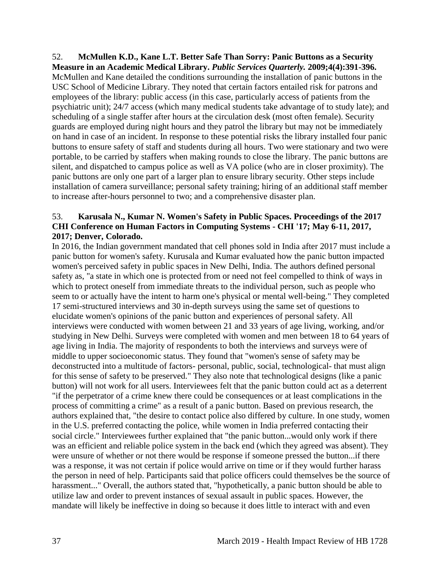<span id="page-39-0"></span>52. **McMullen K.D., Kane L.T. Better Safe Than Sorry: Panic Buttons as a Security Measure in an Academic Medical Library.** *Public Services Quarterly.* **2009;4(4):391-396.** McMullen and Kane detailed the conditions surrounding the installation of panic buttons in the USC School of Medicine Library. They noted that certain factors entailed risk for patrons and employees of the library: public access (in this case, particularly access of patients from the psychiatric unit); 24/7 access (which many medical students take advantage of to study late); and scheduling of a single staffer after hours at the circulation desk (most often female). Security guards are employed during night hours and they patrol the library but may not be immediately on hand in case of an incident. In response to these potential risks the library installed four panic buttons to ensure safety of staff and students during all hours. Two were stationary and two were portable, to be carried by staffers when making rounds to close the library. The panic buttons are silent, and dispatched to campus police as well as VA police (who are in closer proximity). The panic buttons are only one part of a larger plan to ensure library security. Other steps include installation of camera surveillance; personal safety training; hiring of an additional staff member to increase after-hours personnel to two; and a comprehensive disaster plan.

# 53. **Karusala N., Kumar N. Women's Safety in Public Spaces. Proceedings of the 2017 CHI Conference on Human Factors in Computing Systems - CHI '17; May 6-11, 2017, 2017; Denver, Colorado.**

In 2016, the Indian government mandated that cell phones sold in India after 2017 must include a panic button for women's safety. Kurusala and Kumar evaluated how the panic button impacted women's perceived safety in public spaces in New Delhi, India. The authors defined personal safety as, "a state in which one is protected from or need not feel compelled to think of ways in which to protect oneself from immediate threats to the individual person, such as people who seem to or actually have the intent to harm one's physical or mental well-being." They completed 17 semi-structured interviews and 30 in-depth surveys using the same set of questions to elucidate women's opinions of the panic button and experiences of personal safety. All interviews were conducted with women between 21 and 33 years of age living, working, and/or studying in New Delhi. Surveys were completed with women and men between 18 to 64 years of age living in India. The majority of respondents to both the interviews and surveys were of middle to upper socioeconomic status. They found that "women's sense of safety may be deconstructed into a multitude of factors- personal, public, social, technological- that must align for this sense of safety to be preserved." They also note that technological designs (like a panic button) will not work for all users. Interviewees felt that the panic button could act as a deterrent "if the perpetrator of a crime knew there could be consequences or at least complications in the process of committing a crime" as a result of a panic button. Based on previous research, the authors explained that, "the desire to contact police also differed by culture. In one study, women in the U.S. preferred contacting the police, while women in India preferred contacting their social circle." Interviewees further explained that "the panic button...would only work if there was an efficient and reliable police system in the back end (which they agreed was absent). They were unsure of whether or not there would be response if someone pressed the button...if there was a response, it was not certain if police would arrive on time or if they would further harass the person in need of help. Participants said that police officers could themselves be the source of harassment..." Overall, the authors stated that, "hypothetically, a panic button should be able to utilize law and order to prevent instances of sexual assault in public spaces. However, the mandate will likely be ineffective in doing so because it does little to interact with and even